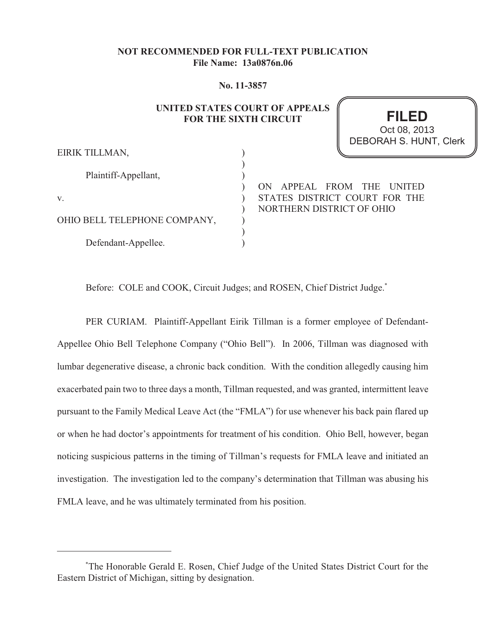## **NOT RECOMMENDED FOR FULL-TEXT PUBLICATION File Name: 13a0876n.06**

#### **No. 11-3857**

## **UNITED STATES COURT OF APPEALS FOR THE SIXTH CIRCUIT**

**FILED** DEBORAH S. HUNT, Clerk Oct 08, 2013

| EIRIK TILLMAN,               |  |
|------------------------------|--|
| Plaintiff-Appellant,         |  |
| V.                           |  |
| OHIO BELL TELEPHONE COMPANY, |  |
| Defendant-Appellee.          |  |

 $\overline{\text{E}}$ 

ON APPEAL FROM THE UNITED STATES DISTRICT COURT FOR THE NORTHERN DISTRICT OF OHIO

Before: COLE and COOK, Circuit Judges; and ROSEN, Chief District Judge.<sup>\*</sup>

PER CURIAM. Plaintiff-Appellant Eirik Tillman is a former employee of Defendant-Appellee Ohio Bell Telephone Company ("Ohio Bell"). In 2006, Tillman was diagnosed with lumbar degenerative disease, a chronic back condition. With the condition allegedly causing him exacerbated pain two to three days a month, Tillman requested, and was granted, intermittent leave pursuant to the Family Medical Leave Act (the "FMLA") for use whenever his back pain flared up or when he had doctor's appointments for treatment of his condition. Ohio Bell, however, began noticing suspicious patterns in the timing of Tillman's requests for FMLA leave and initiated an investigation. The investigation led to the company's determination that Tillman was abusing his FMLA leave, and he was ultimately terminated from his position.

<sup>&</sup>lt;sup>\*</sup>The Honorable Gerald E. Rosen, Chief Judge of the United States District Court for the Eastern District of Michigan, sitting by designation.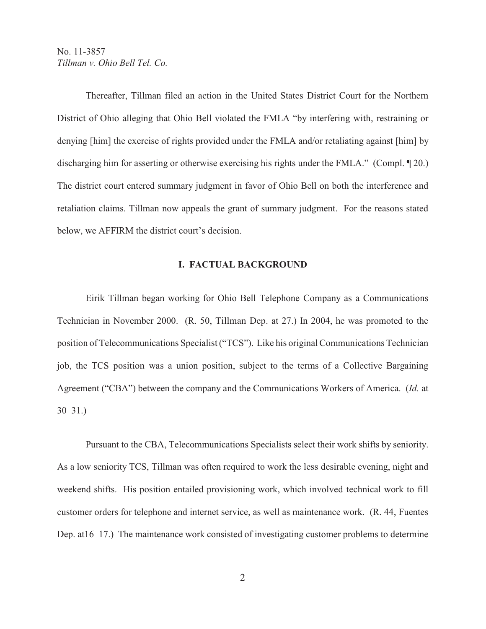Thereafter, Tillman filed an action in the United States District Court for the Northern District of Ohio alleging that Ohio Bell violated the FMLA "by interfering with, restraining or denying [him] the exercise of rights provided under the FMLA and/or retaliating against [him] by discharging him for asserting or otherwise exercising his rights under the FMLA." (Compl. ¶ 20.) The district court entered summary judgment in favor of Ohio Bell on both the interference and retaliation claims. Tillman now appeals the grant of summary judgment. For the reasons stated below, we AFFIRM the district court's decision.

#### **I. FACTUAL BACKGROUND**

Eirik Tillman began working for Ohio Bell Telephone Company as a Communications Technician in November 2000. (R. 50, Tillman Dep. at 27.) In 2004, he was promoted to the position of Telecommunications Specialist ("TCS"). Like his original Communications Technician job, the TCS position was a union position, subject to the terms of a Collective Bargaining Agreement ("CBA") between the company and the Communications Workers of America. (*Id.* at 30 31.)

Pursuant to the CBA, Telecommunications Specialists select their work shifts by seniority. As a low seniority TCS, Tillman was often required to work the less desirable evening, night and weekend shifts. His position entailed provisioning work, which involved technical work to fill customer orders for telephone and internet service, as well as maintenance work. (R. 44, Fuentes Dep. at 16 17.) The maintenance work consisted of investigating customer problems to determine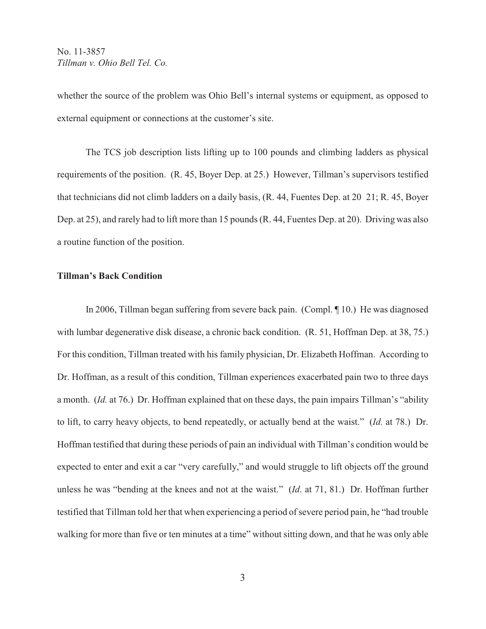whether the source of the problem was Ohio Bell's internal systems or equipment, as opposed to external equipment or connections at the customer's site.

The TCS job description lists lifting up to 100 pounds and climbing ladders as physical requirements of the position. (R. 45, Boyer Dep. at 25.) However, Tillman's supervisors testified that technicians did not climb ladders on a daily basis, (R. 44, Fuentes Dep. at 20 21; R. 45, Boyer Dep. at 25), and rarely had to lift more than 15 pounds (R. 44, Fuentes Dep. at 20). Driving was also a routine function of the position.

## **Tillman's Back Condition**

In 2006, Tillman began suffering from severe back pain. (Compl. ¶ 10.) He was diagnosed with lumbar degenerative disk disease, a chronic back condition. (R. 51, Hoffman Dep. at 38, 75.) For this condition, Tillman treated with his family physician, Dr. Elizabeth Hoffman. According to Dr. Hoffman, as a result of this condition, Tillman experiences exacerbated pain two to three days a month. (*Id.* at 76.) Dr. Hoffman explained that on these days, the pain impairs Tillman's "ability to lift, to carry heavy objects, to bend repeatedly, or actually bend at the waist." (*Id.* at 78.) Dr. Hoffman testified that during these periods of pain an individual with Tillman's condition would be expected to enter and exit a car "very carefully," and would struggle to lift objects off the ground unless he was "bending at the knees and not at the waist." (*Id*. at 71, 81.) Dr. Hoffman further testified that Tillman told her that when experiencing a period of severe period pain, he "had trouble walking for more than five or ten minutes at a time" without sitting down, and that he was only able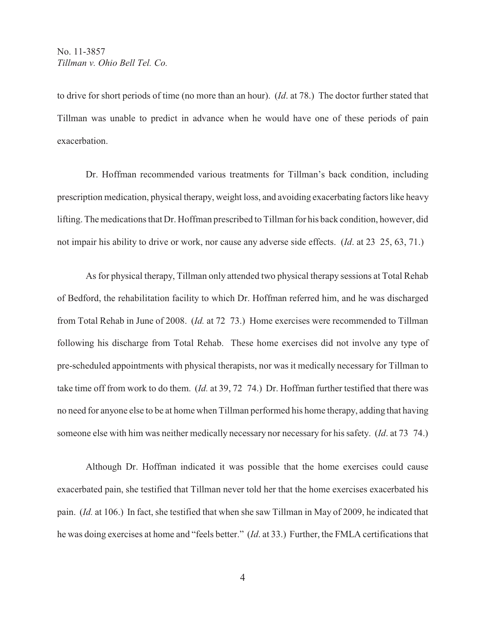to drive for short periods of time (no more than an hour). (*Id*. at 78.) The doctor further stated that Tillman was unable to predict in advance when he would have one of these periods of pain exacerbation.

Dr. Hoffman recommended various treatments for Tillman's back condition, including prescription medication, physical therapy, weight loss, and avoiding exacerbating factors like heavy lifting. The medications that Dr. Hoffman prescribed to Tillman for his back condition, however, did not impair his ability to drive or work, nor cause any adverse side effects. (*Id*. at 23 25, 63, 71.)

As for physical therapy, Tillman only attended two physical therapy sessions at Total Rehab of Bedford, the rehabilitation facility to which Dr. Hoffman referred him, and he was discharged from Total Rehab in June of 2008. (*Id.* at 72 73.) Home exercises were recommended to Tillman following his discharge from Total Rehab. These home exercises did not involve any type of pre-scheduled appointments with physical therapists, nor was it medically necessary for Tillman to take time off from work to do them. (*Id.* at 39, 72 74.) Dr. Hoffman further testified that there was no need for anyone else to be at home when Tillman performed his home therapy, adding that having someone else with him was neither medically necessary nor necessary for his safety. (*Id*. at 73 74.)

Although Dr. Hoffman indicated it was possible that the home exercises could cause exacerbated pain, she testified that Tillman never told her that the home exercises exacerbated his pain. (*Id.* at 106.) In fact, she testified that when she saw Tillman in May of 2009, he indicated that he was doing exercises at home and "feels better." (*Id*. at 33.) Further, the FMLA certifications that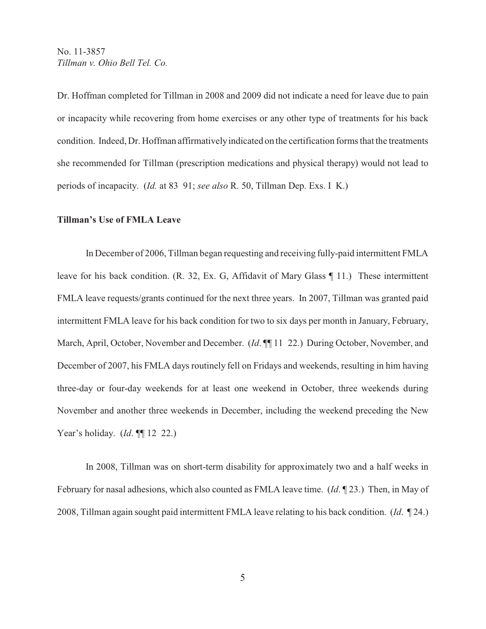Dr. Hoffman completed for Tillman in 2008 and 2009 did not indicate a need for leave due to pain or incapacity while recovering from home exercises or any other type of treatments for his back condition. Indeed, Dr. Hoffman affirmatively indicated on the certification forms that the treatments she recommended for Tillman (prescription medications and physical therapy) would not lead to periods of incapacity. (*Id.* at 83 91; *see also* R. 50, Tillman Dep. Exs. I K.)

## **Tillman's Use of FMLA Leave**

In December of 2006, Tillman began requesting and receiving fully-paid intermittent FMLA leave for his back condition. (R. 32, Ex. G, Affidavit of Mary Glass ¶ 11.) These intermittent FMLA leave requests/grants continued for the next three years. In 2007, Tillman was granted paid intermittent FMLA leave for his back condition for two to six days per month in January, February, March, April, October, November and December. (*Id.* ¶[11 22.) During October, November, and December of 2007, his FMLA days routinely fell on Fridays and weekends, resulting in him having three-day or four-day weekends for at least one weekend in October, three weekends during November and another three weekends in December, including the weekend preceding the New Year's holiday. (*Id*. ¶¶ 12 22.)

In 2008, Tillman was on short-term disability for approximately two and a half weeks in February for nasal adhesions, which also counted as FMLA leave time. (*Id*. ¶ 23.) Then, in May of 2008, Tillman again sought paid intermittent FMLA leave relating to his back condition. (*Id*. ¶ 24.)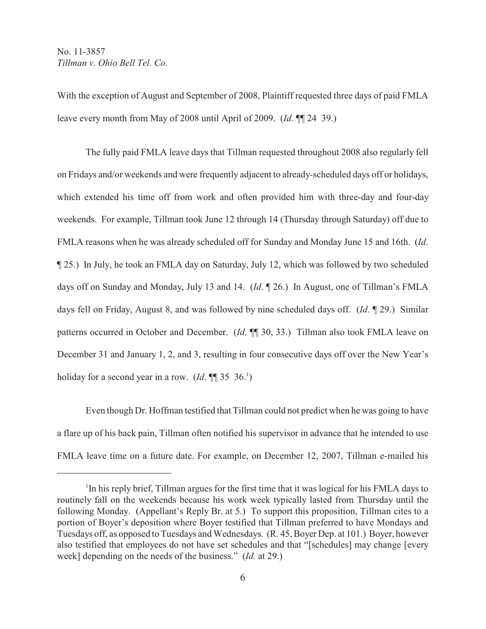With the exception of August and September of 2008, Plaintiff requested three days of paid FMLA leave every month from May of 2008 until April of 2009. (*Id*. ¶¶ 24 39.)

The fully paid FMLA leave days that Tillman requested throughout 2008 also regularly fell on Fridays and/or weekends and were frequently adjacent to already-scheduled days off or holidays, which extended his time off from work and often provided him with three-day and four-day weekends. For example, Tillman took June 12 through 14 (Thursday through Saturday) off due to FMLA reasons when he was already scheduled off for Sunday and Monday June 15 and 16th. (*Id*. ¶ 25.) In July, he took an FMLA day on Saturday, July 12, which was followed by two scheduled days off on Sunday and Monday, July 13 and 14. (*Id*. ¶ 26.) In August, one of Tillman's FMLA days fell on Friday, August 8, and was followed by nine scheduled days off. (*Id*. ¶ 29.) Similar patterns occurred in October and December. (*Id*. ¶¶ 30, 33.) Tillman also took FMLA leave on December 31 and January 1, 2, and 3, resulting in four consecutive days off over the New Year's holiday for a second year in a row.  $(Id. \P \P 35 \ 36.$ <sup>1</sup>)

Even though Dr. Hoffman testified that Tillman could not predict when he was going to have a flare up of his back pain, Tillman often notified his supervisor in advance that he intended to use FMLA leave time on a future date. For example, on December 12, 2007, Tillman e-mailed his

<sup>&</sup>lt;sup>1</sup>In his reply brief, Tillman argues for the first time that it was logical for his FMLA days to routinely fall on the weekends because his work week typically lasted from Thursday until the following Monday. (Appellant's Reply Br. at 5.) To support this proposition, Tillman cites to a portion of Boyer's deposition where Boyer testified that Tillman preferred to have Mondays and Tuesdays off, as opposed to Tuesdays and Wednesdays. (R. 45, Boyer Dep. at 101.) Boyer, however also testified that employees do not have set schedules and that "[schedules] may change [every week] depending on the needs of the business." (*Id.* at 29.)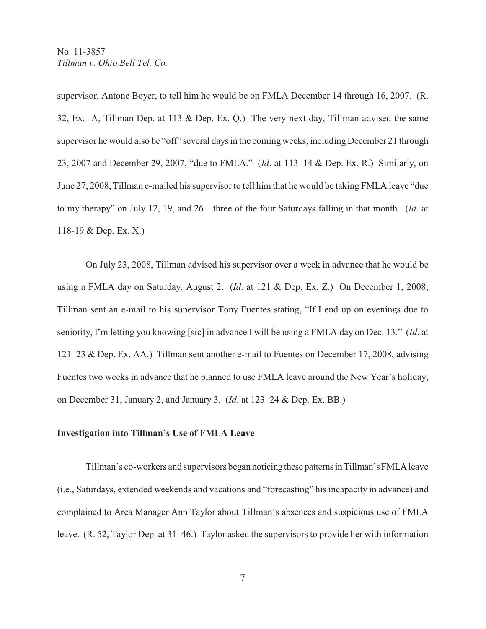supervisor, Antone Boyer, to tell him he would be on FMLA December 14 through 16, 2007. (R. 32, Ex. A, Tillman Dep. at 113 & Dep. Ex. Q.) The very next day, Tillman advised the same supervisor he would also be "off" several days in the coming weeks, including December 21 through 23, 2007 and December 29, 2007, "due to FMLA." (*Id*. at 113 14 & Dep. Ex. R.) Similarly, on June 27, 2008, Tillman e-mailed his supervisor to tell him that he would be taking FMLA leave "due to my therapy" on July 12, 19, and 26 three of the four Saturdays falling in that month. (*Id*. at 118-19 & Dep. Ex. X.)

On July 23, 2008, Tillman advised his supervisor over a week in advance that he would be using a FMLA day on Saturday, August 2. (*Id*. at 121 & Dep. Ex. Z.) On December 1, 2008, Tillman sent an e-mail to his supervisor Tony Fuentes stating, "If I end up on evenings due to seniority, I'm letting you knowing [sic] in advance I will be using a FMLA day on Dec. 13." (*Id*. at 121 23 & Dep. Ex. AA.) Tillman sent another e-mail to Fuentes on December 17, 2008, advising Fuentes two weeks in advance that he planned to use FMLA leave around the New Year's holiday, on December 31, January 2, and January 3. (*Id*. at 123 24 & Dep. Ex. BB.)

#### **Investigation into Tillman's Use of FMLA Leave**

Tillman's co-workers and supervisors began noticing these patterns in Tillman's FMLA leave (i.e., Saturdays, extended weekends and vacations and "forecasting" his incapacity in advance) and complained to Area Manager Ann Taylor about Tillman's absences and suspicious use of FMLA leave. (R. 52, Taylor Dep. at 31 46.) Taylor asked the supervisors to provide her with information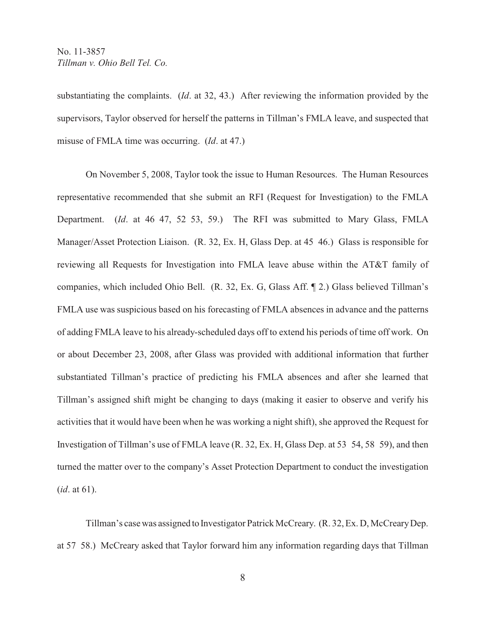substantiating the complaints. (*Id*. at 32, 43.) After reviewing the information provided by the supervisors, Taylor observed for herself the patterns in Tillman's FMLA leave, and suspected that misuse of FMLA time was occurring. (*Id*. at 47.)

On November 5, 2008, Taylor took the issue to Human Resources. The Human Resources representative recommended that she submit an RFI (Request for Investigation) to the FMLA Department. (*Id*. at 46 47, 52 53, 59.) The RFI was submitted to Mary Glass, FMLA Manager/Asset Protection Liaison. (R. 32, Ex. H, Glass Dep. at 45 46.) Glass is responsible for reviewing all Requests for Investigation into FMLA leave abuse within the AT&T family of companies, which included Ohio Bell. (R. 32, Ex. G, Glass Aff. ¶ 2.) Glass believed Tillman's FMLA use was suspicious based on his forecasting of FMLA absences in advance and the patterns of adding FMLA leave to his already-scheduled days off to extend his periods of time off work. On or about December 23, 2008, after Glass was provided with additional information that further substantiated Tillman's practice of predicting his FMLA absences and after she learned that Tillman's assigned shift might be changing to days (making it easier to observe and verify his activities that it would have been when he was working a night shift), she approved the Request for Investigation of Tillman's use of FMLA leave (R. 32, Ex. H, Glass Dep. at 53 54, 58 59), and then turned the matter over to the company's Asset Protection Department to conduct the investigation (*id*. at 61).

Tillman's case was assigned to Investigator Patrick McCreary. (R. 32, Ex. D, McCreary Dep. at 57 58.) McCreary asked that Taylor forward him any information regarding days that Tillman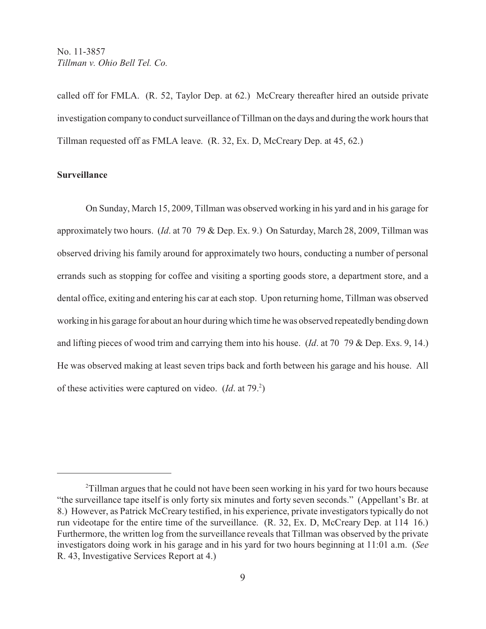called off for FMLA. (R. 52, Taylor Dep. at 62.) McCreary thereafter hired an outside private investigation company to conduct surveillance of Tillman on the days and during the work hours that Tillman requested off as FMLA leave. (R. 32, Ex. D, McCreary Dep. at 45, 62.)

## **Surveillance**

On Sunday, March 15, 2009, Tillman was observed working in his yard and in his garage for approximately two hours. (*Id*. at 70 79 & Dep. Ex. 9.) On Saturday, March 28, 2009, Tillman was observed driving his family around for approximately two hours, conducting a number of personal errands such as stopping for coffee and visiting a sporting goods store, a department store, and a dental office, exiting and entering his car at each stop. Upon returning home, Tillman was observed working in his garage for about an hour during which time he was observed repeatedly bending down and lifting pieces of wood trim and carrying them into his house. (*Id*. at 70 79 & Dep. Exs. 9, 14.) He was observed making at least seven trips back and forth between his garage and his house. All of these activities were captured on video.  $(Id.$  at 79. $)$ <sup>2</sup>)

<sup>&</sup>lt;sup>2</sup>Tillman argues that he could not have been seen working in his yard for two hours because "the surveillance tape itself is only forty six minutes and forty seven seconds." (Appellant's Br. at 8.) However, as Patrick McCreary testified, in his experience, private investigators typically do not run videotape for the entire time of the surveillance. (R. 32, Ex. D, McCreary Dep. at 114 16.) Furthermore, the written log from the surveillance reveals that Tillman was observed by the private investigators doing work in his garage and in his yard for two hours beginning at 11:01 a.m. (*See* R. 43, Investigative Services Report at 4.)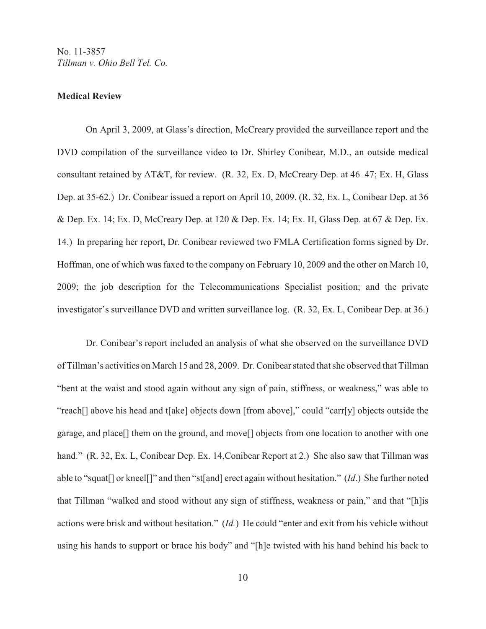#### **Medical Review**

On April 3, 2009, at Glass's direction, McCreary provided the surveillance report and the DVD compilation of the surveillance video to Dr. Shirley Conibear, M.D., an outside medical consultant retained by AT&T, for review. (R. 32, Ex. D, McCreary Dep. at 46 47; Ex. H, Glass Dep. at 35-62.) Dr. Conibear issued a report on April 10, 2009. (R. 32, Ex. L, Conibear Dep. at 36 & Dep. Ex. 14; Ex. D, McCreary Dep. at 120 & Dep. Ex. 14; Ex. H, Glass Dep. at 67 & Dep. Ex. 14.) In preparing her report, Dr. Conibear reviewed two FMLA Certification forms signed by Dr. Hoffman, one of which was faxed to the company on February 10, 2009 and the other on March 10, 2009; the job description for the Telecommunications Specialist position; and the private investigator's surveillance DVD and written surveillance log. (R. 32, Ex. L, Conibear Dep. at 36.)

Dr. Conibear's report included an analysis of what she observed on the surveillance DVD of Tillman's activities on March 15 and 28, 2009. Dr. Conibear stated that she observed that Tillman "bent at the waist and stood again without any sign of pain, stiffness, or weakness," was able to "reach[] above his head and t[ake] objects down [from above]," could "carr[y] objects outside the garage, and place[] them on the ground, and move[] objects from one location to another with one hand." (R. 32, Ex. L, Conibear Dep. Ex. 14, Conibear Report at 2.) She also saw that Tillman was able to "squat[] or kneel[]" and then "st[and] erect again without hesitation." (*Id*.) She further noted that Tillman "walked and stood without any sign of stiffness, weakness or pain," and that "[h]is actions were brisk and without hesitation." (*Id.*) He could "enter and exit from his vehicle without using his hands to support or brace his body" and "[h]e twisted with his hand behind his back to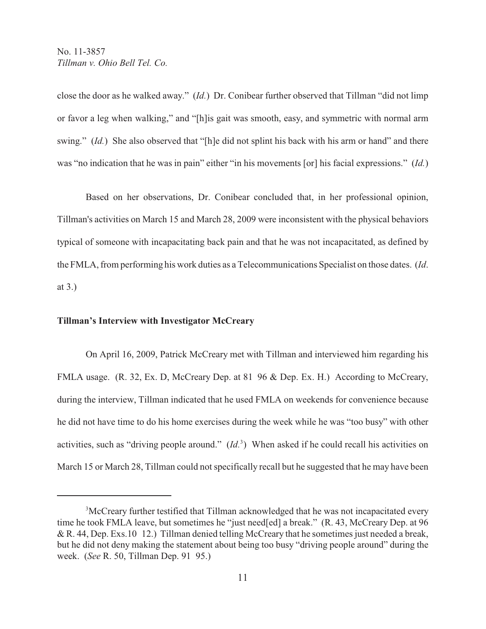close the door as he walked away." (*Id.*) Dr. Conibear further observed that Tillman "did not limp or favor a leg when walking," and "[h]is gait was smooth, easy, and symmetric with normal arm swing." *(Id.)* She also observed that "[h]e did not splint his back with his arm or hand" and there was "no indication that he was in pain" either "in his movements [or] his facial expressions." (*Id.*)

Based on her observations, Dr. Conibear concluded that, in her professional opinion, Tillman's activities on March 15 and March 28, 2009 were inconsistent with the physical behaviors typical of someone with incapacitating back pain and that he was not incapacitated, as defined by the FMLA, from performing his work duties as a Telecommunications Specialist on those dates. (*Id*. at 3.)

#### **Tillman's Interview with Investigator McCreary**

On April 16, 2009, Patrick McCreary met with Tillman and interviewed him regarding his FMLA usage. (R. 32, Ex. D, McCreary Dep. at 81 96 & Dep. Ex. H.) According to McCreary, during the interview, Tillman indicated that he used FMLA on weekends for convenience because he did not have time to do his home exercises during the week while he was "too busy" with other activities, such as "driving people around." (*Id.*<sup>3</sup>) When asked if he could recall his activities on March 15 or March 28, Tillman could not specifically recall but he suggested that he may have been

<sup>&</sup>lt;sup>3</sup>McCreary further testified that Tillman acknowledged that he was not incapacitated every time he took FMLA leave, but sometimes he "just need[ed] a break." (R. 43, McCreary Dep. at 96 & R. 44, Dep. Exs.10 12.) Tillman denied telling McCreary that he sometimes just needed a break, but he did not deny making the statement about being too busy "driving people around" during the week. (*See* R. 50, Tillman Dep. 91 95.)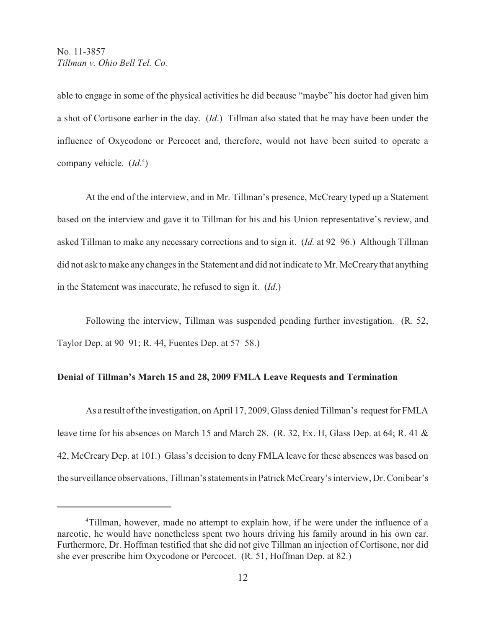able to engage in some of the physical activities he did because "maybe" his doctor had given him a shot of Cortisone earlier in the day. (*Id*.) Tillman also stated that he may have been under the influence of Oxycodone or Percocet and, therefore, would not have been suited to operate a company vehicle.  $(Id<sup>4</sup>_{\cdot})$ 

At the end of the interview, and in Mr. Tillman's presence, McCreary typed up a Statement based on the interview and gave it to Tillman for his and his Union representative's review, and asked Tillman to make any necessary corrections and to sign it. (*Id.* at 92 96.) Although Tillman did not ask to make any changes in the Statement and did not indicate to Mr. McCreary that anything in the Statement was inaccurate, he refused to sign it. (*Id*.)

Following the interview, Tillman was suspended pending further investigation. (R. 52, Taylor Dep. at 90 91; R. 44, Fuentes Dep. at 57 58.)

#### **Denial of Tillman's March 15 and 28, 2009 FMLA Leave Requests and Termination**

As a result of the investigation, on April 17, 2009, Glass denied Tillman's request for FMLA leave time for his absences on March 15 and March 28. (R. 32, Ex. H, Glass Dep. at 64; R. 41 & 42, McCreary Dep. at 101.) Glass's decision to deny FMLA leave for these absences was based on the surveillance observations, Tillman's statements in Patrick McCreary's interview, Dr. Conibear's

<sup>&</sup>lt;sup>4</sup>Tillman, however, made no attempt to explain how, if he were under the influence of a narcotic, he would have nonetheless spent two hours driving his family around in his own car. Furthermore, Dr. Hoffman testified that she did not give Tillman an injection of Cortisone, nor did she ever prescribe him Oxycodone or Percocet. (R. 51, Hoffman Dep. at 82.)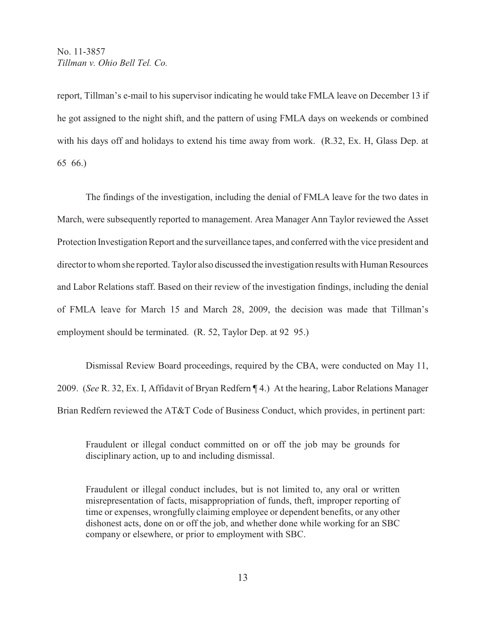report, Tillman's e-mail to his supervisor indicating he would take FMLA leave on December 13 if he got assigned to the night shift, and the pattern of using FMLA days on weekends or combined with his days off and holidays to extend his time away from work. (R.32, Ex. H, Glass Dep. at 65 66.)

The findings of the investigation, including the denial of FMLA leave for the two dates in March, were subsequently reported to management. Area Manager Ann Taylor reviewed the Asset Protection Investigation Report and the surveillance tapes, and conferred with the vice president and director to whom she reported. Taylor also discussed the investigation results with Human Resources and Labor Relations staff. Based on their review of the investigation findings, including the denial of FMLA leave for March 15 and March 28, 2009, the decision was made that Tillman's employment should be terminated. (R. 52, Taylor Dep. at 92 95.)

Dismissal Review Board proceedings, required by the CBA, were conducted on May 11, 2009. (*See* R. 32, Ex. I, Affidavit of Bryan Redfern ¶ 4.) At the hearing, Labor Relations Manager Brian Redfern reviewed the AT&T Code of Business Conduct, which provides, in pertinent part:

Fraudulent or illegal conduct committed on or off the job may be grounds for disciplinary action, up to and including dismissal.

Fraudulent or illegal conduct includes, but is not limited to, any oral or written misrepresentation of facts, misappropriation of funds, theft, improper reporting of time or expenses, wrongfully claiming employee or dependent benefits, or any other dishonest acts, done on or off the job, and whether done while working for an SBC company or elsewhere, or prior to employment with SBC.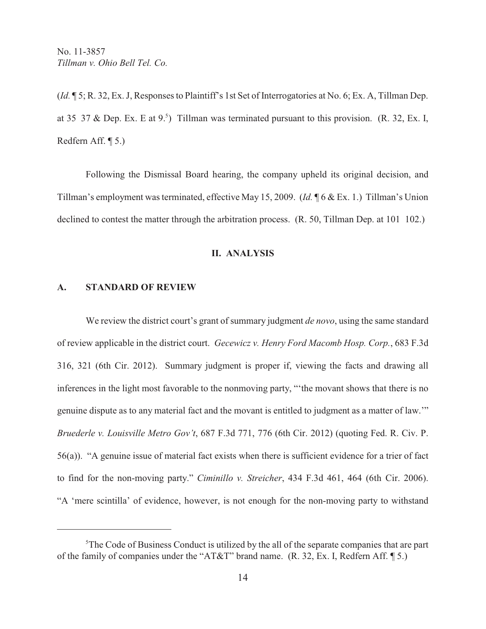(*Id.* ¶ 5; R. 32, Ex. J, Responses to Plaintiff's 1st Set of Interrogatories at No. 6; Ex. A, Tillman Dep. at 35 37 & Dep. Ex. E at  $9.5$ ) Tillman was terminated pursuant to this provision. (R. 32, Ex. I, Redfern Aff. ¶ 5.)

Following the Dismissal Board hearing, the company upheld its original decision, and Tillman's employment was terminated, effective May 15, 2009. (*Id.* ¶ 6 & Ex. 1.) Tillman's Union declined to contest the matter through the arbitration process. (R. 50, Tillman Dep. at 101 102.)

#### **II. ANALYSIS**

#### **A. STANDARD OF REVIEW**

We review the district court's grant of summary judgment *de novo*, using the same standard of review applicable in the district court. *Gecewicz v. Henry Ford Macomb Hosp. Corp.*, 683 F.3d 316, 321 (6th Cir. 2012). Summary judgment is proper if, viewing the facts and drawing all inferences in the light most favorable to the nonmoving party, "'the movant shows that there is no genuine dispute as to any material fact and the movant is entitled to judgment as a matter of law.'" *Bruederle v. Louisville Metro Gov't*, 687 F.3d 771, 776 (6th Cir. 2012) (quoting Fed. R. Civ. P. 56(a)). "A genuine issue of material fact exists when there is sufficient evidence for a trier of fact to find for the non-moving party." *Ciminillo v. Streicher*, 434 F.3d 461, 464 (6th Cir. 2006). "A 'mere scintilla' of evidence, however, is not enough for the non-moving party to withstand

 ${}^5$ The Code of Business Conduct is utilized by the all of the separate companies that are part of the family of companies under the "AT&T" brand name. (R. 32, Ex. I, Redfern Aff. ¶ 5.)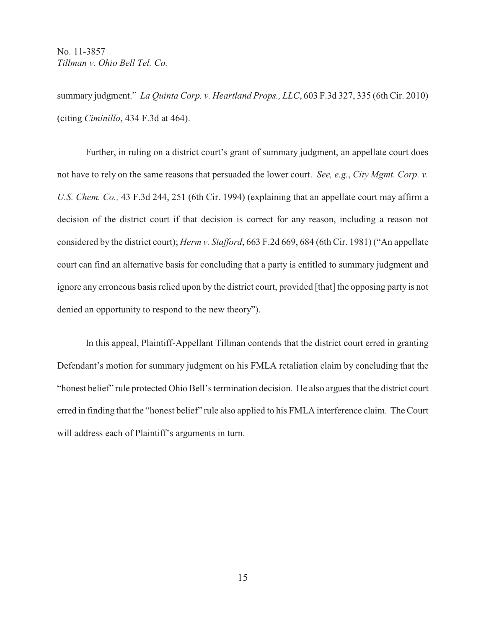summary judgment." *La Quinta Corp. v. Heartland Props., LLC*, 603 F.3d 327, 335 (6th Cir. 2010) (citing *Ciminillo*, 434 F.3d at 464).

Further, in ruling on a district court's grant of summary judgment, an appellate court does not have to rely on the same reasons that persuaded the lower court. *See, e.g.*, *City Mgmt. Corp. v. U.S. Chem. Co.,* 43 F.3d 244, 251 (6th Cir. 1994) (explaining that an appellate court may affirm a decision of the district court if that decision is correct for any reason, including a reason not considered by the district court); *Herm v. Stafford*, 663 F.2d 669, 684 (6th Cir. 1981) ("An appellate court can find an alternative basis for concluding that a party is entitled to summary judgment and ignore any erroneous basis relied upon by the district court, provided [that] the opposing party is not denied an opportunity to respond to the new theory").

In this appeal, Plaintiff-Appellant Tillman contends that the district court erred in granting Defendant's motion for summary judgment on his FMLA retaliation claim by concluding that the "honest belief" rule protected Ohio Bell's termination decision. He also argues that the district court erred in finding that the "honest belief" rule also applied to his FMLA interference claim. The Court will address each of Plaintiff's arguments in turn.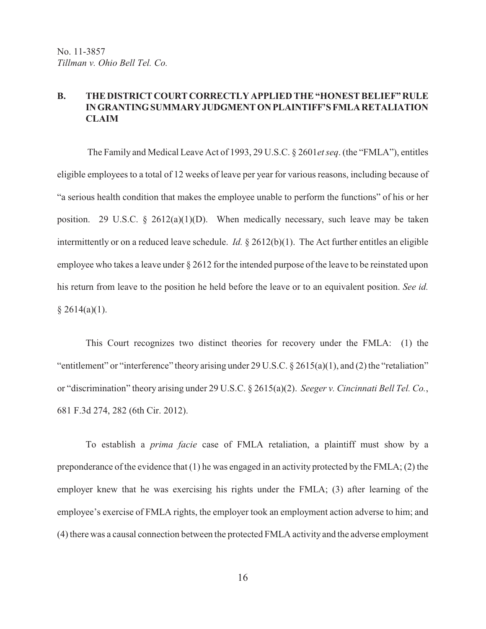# **B. THE DISTRICT COURT CORRECTLY APPLIED THE "HONEST BELIEF" RULE IN GRANTING SUMMARY JUDGMENT ON PLAINTIFF'S FMLA RETALIATION CLAIM**

 The Family and Medical Leave Act of 1993, 29 U.S.C. § 2601*et seq*. (the "FMLA"), entitles eligible employees to a total of 12 weeks of leave per year for various reasons, including because of "a serious health condition that makes the employee unable to perform the functions" of his or her position. 29 U.S.C.  $\frac{2}{3}$  2612(a)(1)(D). When medically necessary, such leave may be taken intermittently or on a reduced leave schedule. *Id.* § 2612(b)(1). The Act further entitles an eligible employee who takes a leave under § 2612 for the intended purpose of the leave to be reinstated upon his return from leave to the position he held before the leave or to an equivalent position. *See id.*  $§ 2614(a)(1).$ 

This Court recognizes two distinct theories for recovery under the FMLA: (1) the "entitlement" or "interference" theory arising under 29 U.S.C. § 2615(a)(1), and (2) the "retaliation" or "discrimination" theory arising under 29 U.S.C. § 2615(a)(2). *Seeger v. Cincinnati Bell Tel. Co.*, 681 F.3d 274, 282 (6th Cir. 2012).

To establish a *prima facie* case of FMLA retaliation, a plaintiff must show by a preponderance of the evidence that (1) he was engaged in an activity protected by the FMLA; (2) the employer knew that he was exercising his rights under the FMLA; (3) after learning of the employee's exercise of FMLA rights, the employer took an employment action adverse to him; and (4) there was a causal connection between the protected FMLA activity and the adverse employment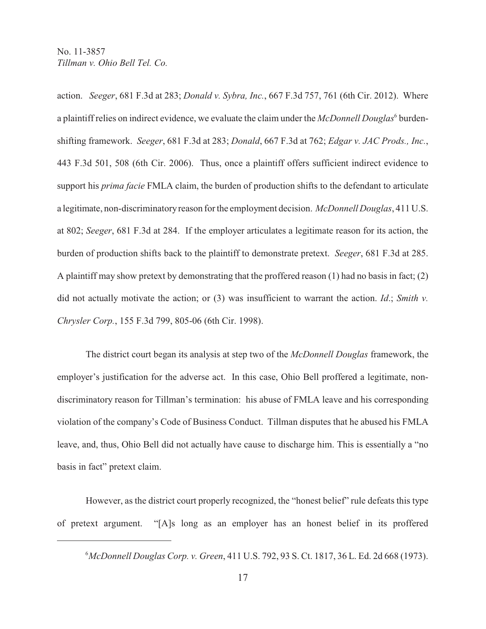action. *Seeger*, 681 F.3d at 283; *Donald v. Sybra, Inc.*, 667 F.3d 757, 761 (6th Cir. 2012). Where a plaintiff relies on indirect evidence, we evaluate the claim under the *McDonnell Douglas*<sup>6</sup> burdenshifting framework. *Seeger*, 681 F.3d at 283; *Donald*, 667 F.3d at 762; *Edgar v. JAC Prods., Inc.*, 443 F.3d 501, 508 (6th Cir. 2006). Thus, once a plaintiff offers sufficient indirect evidence to support his *prima facie* FMLA claim, the burden of production shifts to the defendant to articulate a legitimate, non-discriminatory reason for the employment decision. *McDonnell Douglas*, 411 U.S. at 802; *Seeger*, 681 F.3d at 284. If the employer articulates a legitimate reason for its action, the burden of production shifts back to the plaintiff to demonstrate pretext. *Seeger*, 681 F.3d at 285. A plaintiff may show pretext by demonstrating that the proffered reason (1) had no basis in fact; (2) did not actually motivate the action; or (3) was insufficient to warrant the action. *Id*.; *Smith v. Chrysler Corp.*, 155 F.3d 799, 805-06 (6th Cir. 1998).

The district court began its analysis at step two of the *McDonnell Douglas* framework, the employer's justification for the adverse act. In this case, Ohio Bell proffered a legitimate, nondiscriminatory reason for Tillman's termination: his abuse of FMLA leave and his corresponding violation of the company's Code of Business Conduct. Tillman disputes that he abused his FMLA leave, and, thus, Ohio Bell did not actually have cause to discharge him. This is essentially a "no basis in fact" pretext claim.

However, as the district court properly recognized, the "honest belief" rule defeats this type of pretext argument. "[A]s long as an employer has an honest belief in its proffered

*McDonnell Douglas Corp. v. Green*, 411 U.S. 792, 93 S. Ct. 1817, 36 L. Ed. 2d 668 (1973). <sup>6</sup>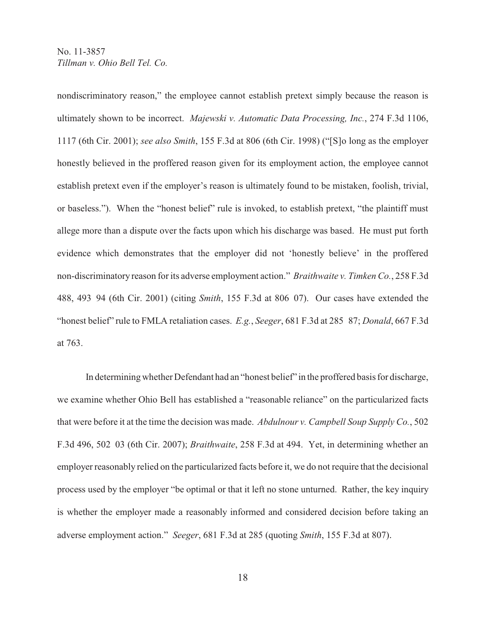nondiscriminatory reason," the employee cannot establish pretext simply because the reason is ultimately shown to be incorrect. *Majewski v. Automatic Data Processing, Inc.*, 274 F.3d 1106, 1117 (6th Cir. 2001); *see also Smith*, 155 F.3d at 806 (6th Cir. 1998) ("[S]o long as the employer honestly believed in the proffered reason given for its employment action, the employee cannot establish pretext even if the employer's reason is ultimately found to be mistaken, foolish, trivial, or baseless."). When the "honest belief" rule is invoked, to establish pretext, "the plaintiff must allege more than a dispute over the facts upon which his discharge was based. He must put forth evidence which demonstrates that the employer did not 'honestly believe' in the proffered non-discriminatory reason for its adverse employment action." *Braithwaite v. Timken Co.*, 258 F.3d 488, 493 94 (6th Cir. 2001) (citing *Smith*, 155 F.3d at 806 07). Our cases have extended the "honest belief" rule to FMLA retaliation cases. *E.g.*, *Seeger*, 681 F.3d at 285 87; *Donald*, 667 F.3d at 763.

In determining whether Defendant had an "honest belief" in the proffered basis for discharge, we examine whether Ohio Bell has established a "reasonable reliance" on the particularized facts that were before it at the time the decision was made. *Abdulnour v. Campbell Soup Supply Co.*, 502 F.3d 496, 502 03 (6th Cir. 2007); *Braithwaite*, 258 F.3d at 494. Yet, in determining whether an employer reasonably relied on the particularized facts before it, we do not require that the decisional process used by the employer "be optimal or that it left no stone unturned. Rather, the key inquiry is whether the employer made a reasonably informed and considered decision before taking an adverse employment action." *Seeger*, 681 F.3d at 285 (quoting *Smith*, 155 F.3d at 807).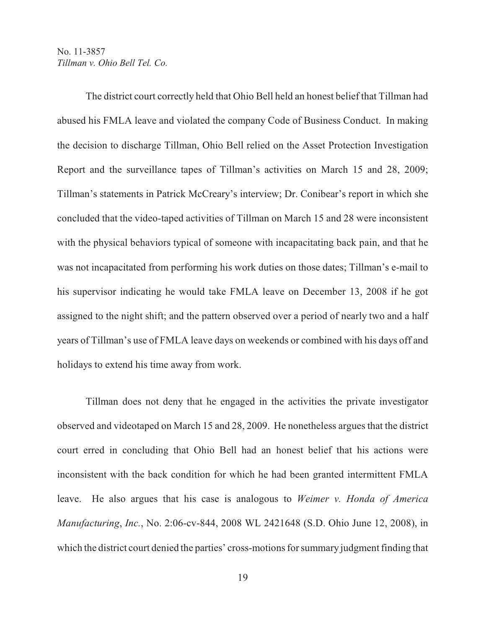The district court correctly held that Ohio Bell held an honest belief that Tillman had abused his FMLA leave and violated the company Code of Business Conduct. In making the decision to discharge Tillman, Ohio Bell relied on the Asset Protection Investigation Report and the surveillance tapes of Tillman's activities on March 15 and 28, 2009; Tillman's statements in Patrick McCreary's interview; Dr. Conibear's report in which she concluded that the video-taped activities of Tillman on March 15 and 28 were inconsistent with the physical behaviors typical of someone with incapacitating back pain, and that he was not incapacitated from performing his work duties on those dates; Tillman's e-mail to his supervisor indicating he would take FMLA leave on December 13, 2008 if he got assigned to the night shift; and the pattern observed over a period of nearly two and a half years of Tillman's use of FMLA leave days on weekends or combined with his days off and holidays to extend his time away from work.

Tillman does not deny that he engaged in the activities the private investigator observed and videotaped on March 15 and 28, 2009. He nonetheless argues that the district court erred in concluding that Ohio Bell had an honest belief that his actions were inconsistent with the back condition for which he had been granted intermittent FMLA leave. He also argues that his case is analogous to *Weimer v. Honda of America Manufacturing*, *Inc.*, No. 2:06-cv-844, 2008 WL 2421648 (S.D. Ohio June 12, 2008), in which the district court denied the parties' cross-motions for summary judgment finding that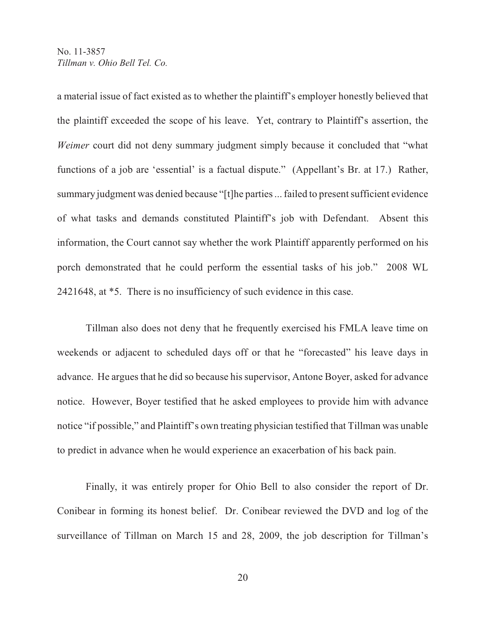a material issue of fact existed as to whether the plaintiff's employer honestly believed that the plaintiff exceeded the scope of his leave. Yet, contrary to Plaintiff's assertion, the *Weimer* court did not deny summary judgment simply because it concluded that "what functions of a job are 'essential' is a factual dispute." (Appellant's Br. at 17.) Rather, summary judgment was denied because "[t]he parties ... failed to present sufficient evidence of what tasks and demands constituted Plaintiff's job with Defendant. Absent this information, the Court cannot say whether the work Plaintiff apparently performed on his porch demonstrated that he could perform the essential tasks of his job." 2008 WL 2421648, at \*5. There is no insufficiency of such evidence in this case.

Tillman also does not deny that he frequently exercised his FMLA leave time on weekends or adjacent to scheduled days off or that he "forecasted" his leave days in advance. He argues that he did so because his supervisor, Antone Boyer, asked for advance notice. However, Boyer testified that he asked employees to provide him with advance notice "if possible," and Plaintiff's own treating physician testified that Tillman was unable to predict in advance when he would experience an exacerbation of his back pain.

Finally, it was entirely proper for Ohio Bell to also consider the report of Dr. Conibear in forming its honest belief. Dr. Conibear reviewed the DVD and log of the surveillance of Tillman on March 15 and 28, 2009, the job description for Tillman's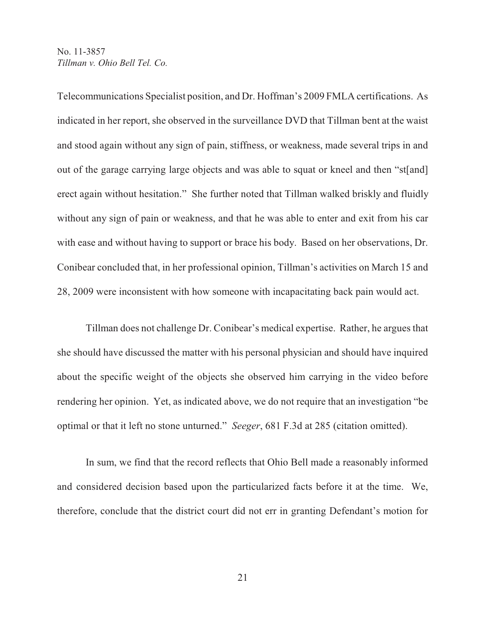Telecommunications Specialist position, and Dr. Hoffman's 2009 FMLA certifications. As indicated in her report, she observed in the surveillance DVD that Tillman bent at the waist and stood again without any sign of pain, stiffness, or weakness, made several trips in and out of the garage carrying large objects and was able to squat or kneel and then "st[and] erect again without hesitation." She further noted that Tillman walked briskly and fluidly without any sign of pain or weakness, and that he was able to enter and exit from his car with ease and without having to support or brace his body. Based on her observations, Dr. Conibear concluded that, in her professional opinion, Tillman's activities on March 15 and 28, 2009 were inconsistent with how someone with incapacitating back pain would act.

Tillman does not challenge Dr. Conibear's medical expertise. Rather, he argues that she should have discussed the matter with his personal physician and should have inquired about the specific weight of the objects she observed him carrying in the video before rendering her opinion. Yet, as indicated above, we do not require that an investigation "be optimal or that it left no stone unturned." *Seeger*, 681 F.3d at 285 (citation omitted).

In sum, we find that the record reflects that Ohio Bell made a reasonably informed and considered decision based upon the particularized facts before it at the time. We, therefore, conclude that the district court did not err in granting Defendant's motion for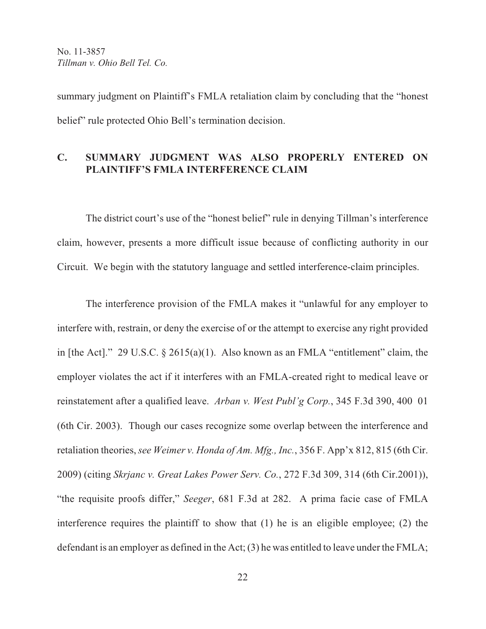summary judgment on Plaintiff's FMLA retaliation claim by concluding that the "honest belief" rule protected Ohio Bell's termination decision.

# **C. SUMMARY JUDGMENT WAS ALSO PROPERLY ENTERED ON PLAINTIFF'S FMLA INTERFERENCE CLAIM**

The district court's use of the "honest belief" rule in denying Tillman's interference claim, however, presents a more difficult issue because of conflicting authority in our Circuit. We begin with the statutory language and settled interference-claim principles.

The interference provision of the FMLA makes it "unlawful for any employer to interfere with, restrain, or deny the exercise of or the attempt to exercise any right provided in [the Act]." 29 U.S.C. § 2615(a)(1). Also known as an FMLA "entitlement" claim, the employer violates the act if it interferes with an FMLA-created right to medical leave or reinstatement after a qualified leave. *Arban v. West Publ'g Corp.*, 345 F.3d 390, 400 01 (6th Cir. 2003). Though our cases recognize some overlap between the interference and retaliation theories, *see Weimer v. Honda of Am. Mfg., Inc.*, 356 F. App'x 812, 815 (6th Cir. 2009) (citing *Skrjanc v. Great Lakes Power Serv. Co.*, 272 F.3d 309, 314 (6th Cir.2001)), "the requisite proofs differ," *Seeger*, 681 F.3d at 282. A prima facie case of FMLA interference requires the plaintiff to show that (1) he is an eligible employee; (2) the defendant is an employer as defined in the Act; (3) he was entitled to leave under the FMLA;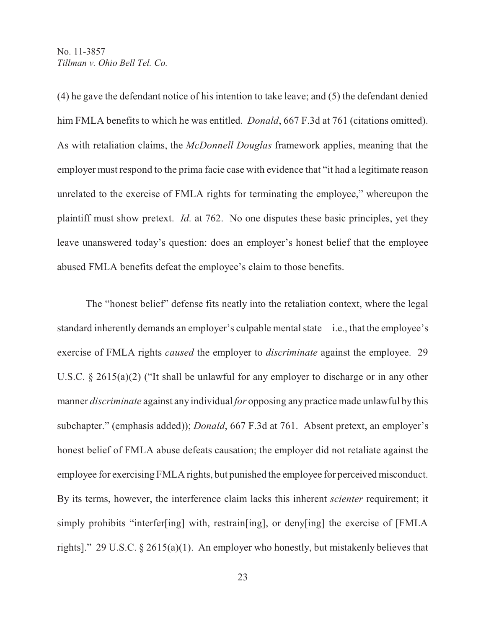(4) he gave the defendant notice of his intention to take leave; and (5) the defendant denied him FMLA benefits to which he was entitled. *Donald*, 667 F.3d at 761 (citations omitted). As with retaliation claims, the *McDonnell Douglas* framework applies, meaning that the employer must respond to the prima facie case with evidence that "it had a legitimate reason unrelated to the exercise of FMLA rights for terminating the employee," whereupon the plaintiff must show pretext. *Id.* at 762. No one disputes these basic principles, yet they leave unanswered today's question: does an employer's honest belief that the employee abused FMLA benefits defeat the employee's claim to those benefits.

 The "honest belief" defense fits neatly into the retaliation context, where the legal standard inherently demands an employer's culpable mental state i.e., that the employee's exercise of FMLA rights *caused* the employer to *discriminate* against the employee. 29 U.S.C. § 2615(a)(2) ("It shall be unlawful for any employer to discharge or in any other manner *discriminate* against any individual *for* opposing any practice made unlawful by this subchapter." (emphasis added)); *Donald*, 667 F.3d at 761. Absent pretext, an employer's honest belief of FMLA abuse defeats causation; the employer did not retaliate against the employee for exercising FMLA rights, but punished the employee for perceived misconduct. By its terms, however, the interference claim lacks this inherent *scienter* requirement; it simply prohibits "interfer[ing] with, restrain[ing], or deny[ing] the exercise of [FMLA rights]." 29 U.S.C. § 2615(a)(1). An employer who honestly, but mistakenly believes that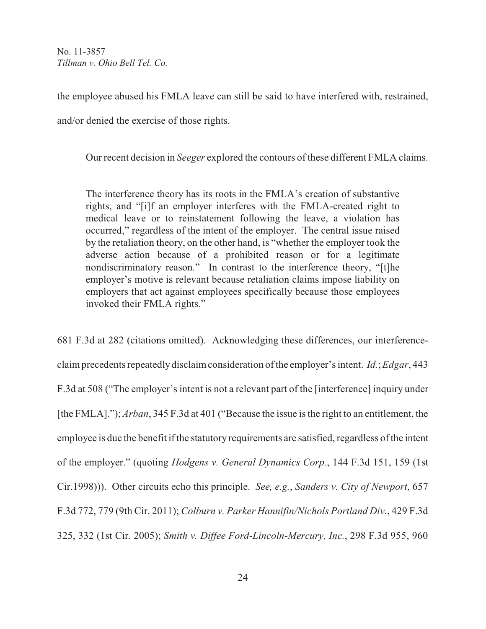the employee abused his FMLA leave can still be said to have interfered with, restrained,

and/or denied the exercise of those rights.

Our recent decision in *Seeger* explored the contours of these different FMLA claims.

The interference theory has its roots in the FMLA's creation of substantive rights, and "[i]f an employer interferes with the FMLA-created right to medical leave or to reinstatement following the leave, a violation has occurred," regardless of the intent of the employer. The central issue raised by the retaliation theory, on the other hand, is "whether the employer took the adverse action because of a prohibited reason or for a legitimate nondiscriminatory reason." In contrast to the interference theory, "[t]he employer's motive is relevant because retaliation claims impose liability on employers that act against employees specifically because those employees invoked their FMLA rights."

681 F.3d at 282 (citations omitted). Acknowledging these differences, our interferenceclaim precedents repeatedly disclaim consideration of the employer's intent. *Id.*; *Edgar*, 443 F.3d at 508 ("The employer's intent is not a relevant part of the [interference] inquiry under [the FMLA]."); *Arban*, 345 F.3d at 401 ("Because the issue is the right to an entitlement, the employee is due the benefit if the statutory requirements are satisfied, regardless of the intent of the employer." (quoting *Hodgens v. General Dynamics Corp.*, 144 F.3d 151, 159 (1st Cir.1998))). Other circuits echo this principle. *See, e.g.*, *Sanders v. City of Newport*, 657 F.3d 772, 779 (9th Cir. 2011); *Colburn v. Parker Hannifin/Nichols Portland Div.*, 429 F.3d 325, 332 (1st Cir. 2005); *Smith v. Diffee Ford-Lincoln-Mercury, Inc.*, 298 F.3d 955, 960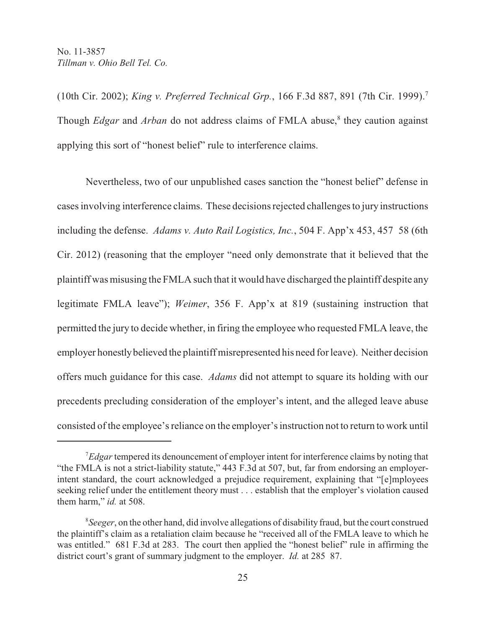(10th Cir. 2002); *King v. Preferred Technical Grp.*, 166 F.3d 887, 891 (7th Cir. 1999). 7 Though *Edgar* and *Arban* do not address claims of FMLA abuse,<sup>8</sup> they caution against applying this sort of "honest belief" rule to interference claims.

Nevertheless, two of our unpublished cases sanction the "honest belief" defense in cases involving interference claims. These decisions rejected challenges to jury instructions including the defense. *Adams v. Auto Rail Logistics, Inc.*, 504 F. App'x 453, 457 58 (6th Cir. 2012) (reasoning that the employer "need only demonstrate that it believed that the plaintiff was misusing the FMLA such that it would have discharged the plaintiff despite any legitimate FMLA leave"); *Weimer*, 356 F. App'x at 819 (sustaining instruction that permitted the jury to decide whether, in firing the employee who requested FMLA leave, the employer honestly believed the plaintiff misrepresented his need for leave). Neither decision offers much guidance for this case. *Adams* did not attempt to square its holding with our precedents precluding consideration of the employer's intent, and the alleged leave abuse consisted of the employee's reliance on the employer's instruction not to return to work until

<sup>&</sup>lt;sup>7</sup>Edgar tempered its denouncement of employer intent for interference claims by noting that "the FMLA is not a strict-liability statute," 443 F.3d at 507, but, far from endorsing an employerintent standard, the court acknowledged a prejudice requirement, explaining that "[e]mployees seeking relief under the entitlement theory must . . . establish that the employer's violation caused them harm," *id.* at 508.

<sup>&</sup>lt;sup>8</sup> Seeger, on the other hand, did involve allegations of disability fraud, but the court construed the plaintiff's claim as a retaliation claim because he "received all of the FMLA leave to which he was entitled." 681 F.3d at 283. The court then applied the "honest belief" rule in affirming the district court's grant of summary judgment to the employer. *Id.* at 285 87.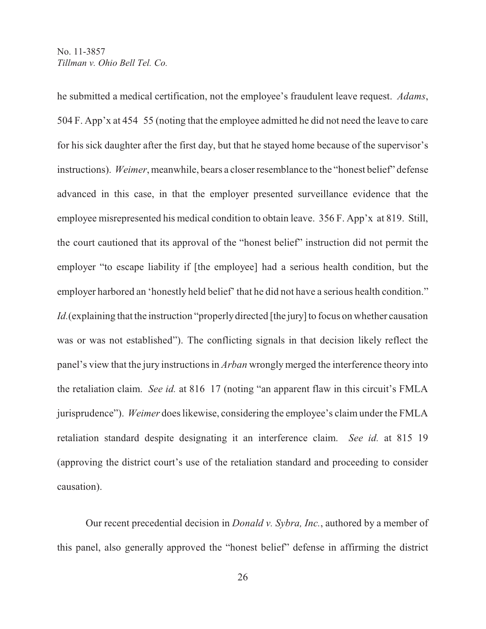he submitted a medical certification, not the employee's fraudulent leave request. *Adams*, 504 F. App'x at 454 55 (noting that the employee admitted he did not need the leave to care for his sick daughter after the first day, but that he stayed home because of the supervisor's instructions). *Weimer*, meanwhile, bears a closer resemblance to the "honest belief" defense advanced in this case, in that the employer presented surveillance evidence that the employee misrepresented his medical condition to obtain leave. 356 F. App'x at 819. Still, the court cautioned that its approval of the "honest belief" instruction did not permit the employer "to escape liability if [the employee] had a serious health condition, but the employer harbored an 'honestly held belief' that he did not have a serious health condition." Id. (explaining that the instruction "properly directed [the jury] to focus on whether causation was or was not established"). The conflicting signals in that decision likely reflect the panel's view that the jury instructions in *Arban* wrongly merged the interference theory into the retaliation claim. *See id.* at 816 17 (noting "an apparent flaw in this circuit's FMLA jurisprudence"). *Weimer* does likewise, considering the employee's claim under the FMLA retaliation standard despite designating it an interference claim. *See id.* at 815 19 (approving the district court's use of the retaliation standard and proceeding to consider causation).

Our recent precedential decision in *Donald v. Sybra, Inc.*, authored by a member of this panel, also generally approved the "honest belief" defense in affirming the district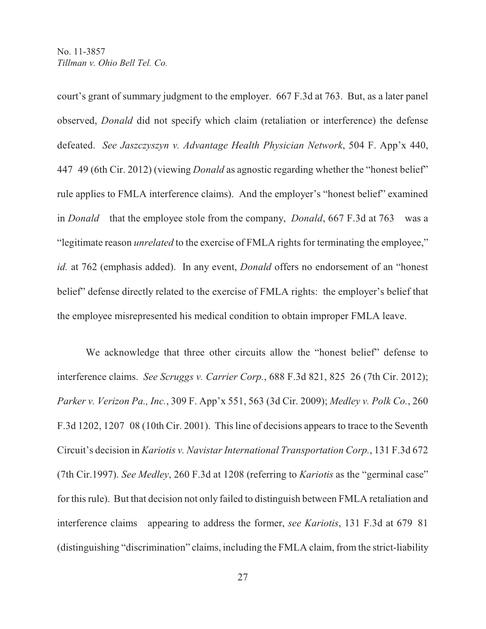court's grant of summary judgment to the employer. 667 F.3d at 763. But, as a later panel observed, *Donald* did not specify which claim (retaliation or interference) the defense defeated. *See Jaszczyszyn v. Advantage Health Physician Network*, 504 F. App'x 440, 447 49 (6th Cir. 2012) (viewing *Donald* as agnostic regarding whether the "honest belief" rule applies to FMLA interference claims). And the employer's "honest belief" examined in *Donald* that the employee stole from the company, *Donald*, 667 F.3d at 763 was a "legitimate reason *unrelated* to the exercise of FMLA rights for terminating the employee," *id.* at 762 (emphasis added). In any event, *Donald* offers no endorsement of an "honest belief" defense directly related to the exercise of FMLA rights: the employer's belief that the employee misrepresented his medical condition to obtain improper FMLA leave.

We acknowledge that three other circuits allow the "honest belief" defense to interference claims. *See Scruggs v. Carrier Corp.*, 688 F.3d 821, 825 26 (7th Cir. 2012); *Parker v. Verizon Pa., Inc.*, 309 F. App'x 551, 563 (3d Cir. 2009); *Medley v. Polk Co.*, 260 F.3d 1202, 1207 08 (10th Cir. 2001). This line of decisions appears to trace to the Seventh Circuit's decision in *Kariotis v. Navistar International Transportation Corp.*, 131 F.3d 672 (7th Cir.1997). *See Medley*, 260 F.3d at 1208 (referring to *Kariotis* as the "germinal case" for this rule). But that decision not only failed to distinguish between FMLA retaliation and interference claims appearing to address the former, *see Kariotis*, 131 F.3d at 679 81 (distinguishing "discrimination" claims, including the FMLA claim, from the strict-liability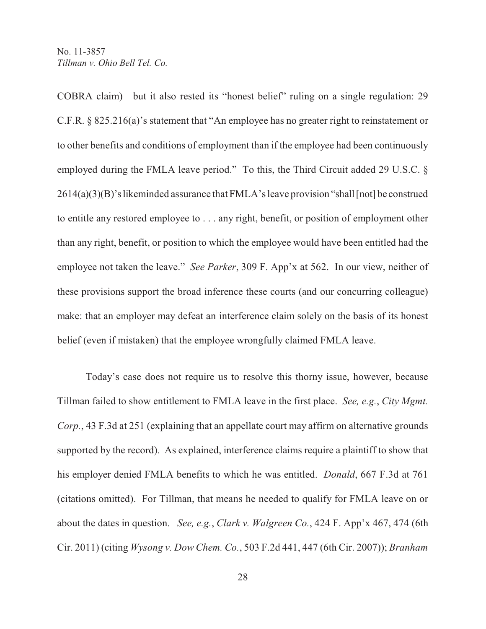COBRA claim) but it also rested its "honest belief" ruling on a single regulation: 29 C.F.R. § 825.216(a)'s statement that "An employee has no greater right to reinstatement or to other benefits and conditions of employment than if the employee had been continuously employed during the FMLA leave period." To this, the Third Circuit added 29 U.S.C. § 2614(a)(3)(B)'s likeminded assurance that FMLA's leave provision "shall [not] be construed to entitle any restored employee to . . . any right, benefit, or position of employment other than any right, benefit, or position to which the employee would have been entitled had the employee not taken the leave." *See Parker*, 309 F. App'x at 562. In our view, neither of these provisions support the broad inference these courts (and our concurring colleague) make: that an employer may defeat an interference claim solely on the basis of its honest belief (even if mistaken) that the employee wrongfully claimed FMLA leave.

Today's case does not require us to resolve this thorny issue, however, because Tillman failed to show entitlement to FMLA leave in the first place. *See, e.g.*, *City Mgmt. Corp.*, 43 F.3d at 251 (explaining that an appellate court may affirm on alternative grounds supported by the record). As explained, interference claims require a plaintiff to show that his employer denied FMLA benefits to which he was entitled. *Donald*, 667 F.3d at 761 (citations omitted). For Tillman, that means he needed to qualify for FMLA leave on or about the dates in question. *See, e.g.*, *Clark v. Walgreen Co.*, 424 F. App'x 467, 474 (6th Cir. 2011) (citing *Wysong v. Dow Chem. Co.*, 503 F.2d 441, 447 (6th Cir. 2007)); *Branham*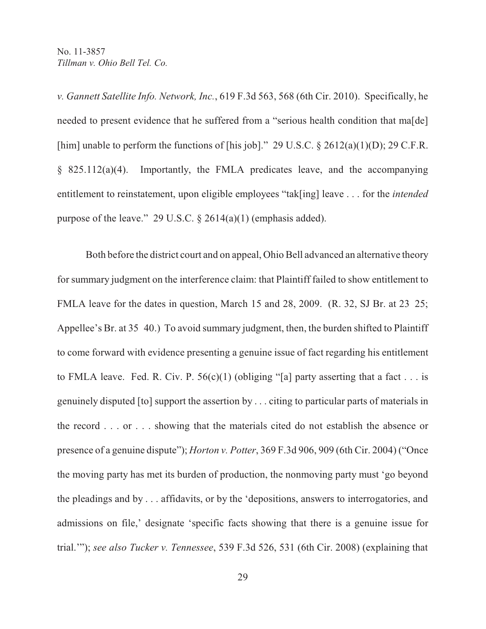*v. Gannett Satellite Info. Network, Inc.*, 619 F.3d 563, 568 (6th Cir. 2010). Specifically, he needed to present evidence that he suffered from a "serious health condition that ma<sup>[de]</sup> [him] unable to perform the functions of [his job]." 29 U.S.C.  $\S$  2612(a)(1)(D); 29 C.F.R. § 825.112(a)(4). Importantly, the FMLA predicates leave, and the accompanying entitlement to reinstatement, upon eligible employees "tak[ing] leave . . . for the *intended* purpose of the leave." 29 U.S.C. § 2614(a)(1) (emphasis added).

Both before the district court and on appeal, Ohio Bell advanced an alternative theory for summary judgment on the interference claim: that Plaintiff failed to show entitlement to FMLA leave for the dates in question, March 15 and 28, 2009. (R. 32, SJ Br. at 23 25; Appellee's Br. at 35 40.) To avoid summary judgment, then, the burden shifted to Plaintiff to come forward with evidence presenting a genuine issue of fact regarding his entitlement to FMLA leave. Fed. R. Civ. P.  $56(c)(1)$  (obliging "[a] party asserting that a fact . . . is genuinely disputed [to] support the assertion by . . . citing to particular parts of materials in the record . . . or . . . showing that the materials cited do not establish the absence or presence of a genuine dispute"); *Horton v. Potter*, 369 F.3d 906, 909 (6th Cir. 2004) ("Once the moving party has met its burden of production, the nonmoving party must 'go beyond the pleadings and by . . . affidavits, or by the 'depositions, answers to interrogatories, and admissions on file,' designate 'specific facts showing that there is a genuine issue for trial.'"); *see also Tucker v. Tennessee*, 539 F.3d 526, 531 (6th Cir. 2008) (explaining that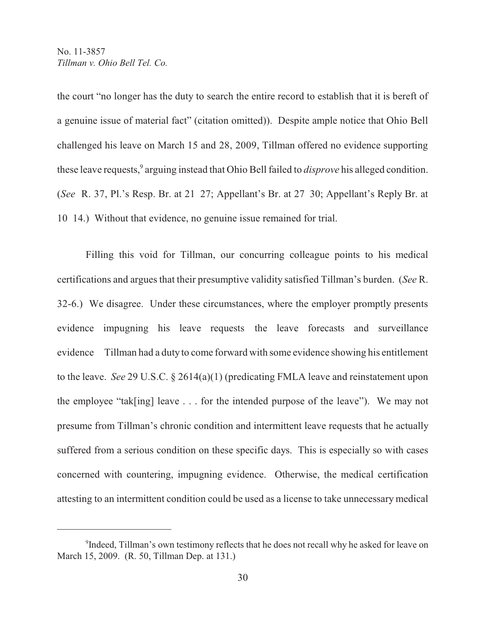the court "no longer has the duty to search the entire record to establish that it is bereft of a genuine issue of material fact" (citation omitted)). Despite ample notice that Ohio Bell challenged his leave on March 15 and 28, 2009, Tillman offered no evidence supporting these leave requests,<sup>9</sup> arguing instead that Ohio Bell failed to *disprove* his alleged condition. (*See* R. 37, Pl.'s Resp. Br. at 21 27; Appellant's Br. at 27 30; Appellant's Reply Br. at 10 14.) Without that evidence, no genuine issue remained for trial.

Filling this void for Tillman, our concurring colleague points to his medical certifications and argues that their presumptive validity satisfied Tillman's burden. (*See* R. 32-6.) We disagree. Under these circumstances, where the employer promptly presents evidence impugning his leave requests the leave forecasts and surveillance evidence Tillman had a duty to come forward with some evidence showing his entitlement to the leave. *See* 29 U.S.C. § 2614(a)(1) (predicating FMLA leave and reinstatement upon the employee "tak[ing] leave . . . for the intended purpose of the leave"). We may not presume from Tillman's chronic condition and intermittent leave requests that he actually suffered from a serious condition on these specific days. This is especially so with cases concerned with countering, impugning evidence. Otherwise, the medical certification attesting to an intermittent condition could be used as a license to take unnecessary medical

<sup>&</sup>lt;sup>9</sup>Indeed, Tillman's own testimony reflects that he does not recall why he asked for leave on March 15, 2009. (R. 50, Tillman Dep. at 131.)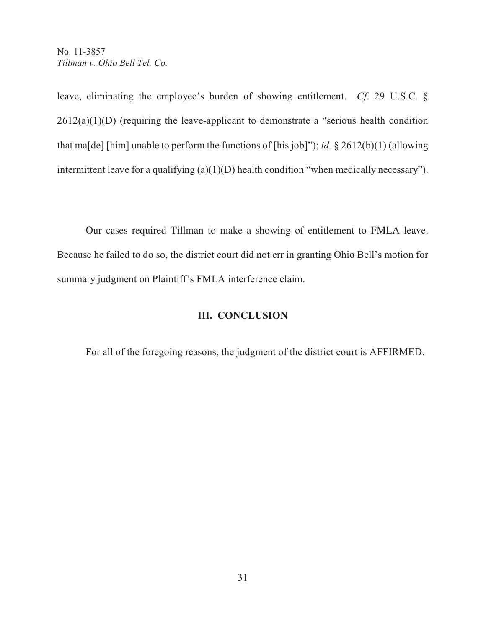leave, eliminating the employee's burden of showing entitlement. *Cf.* 29 U.S.C. §  $2612(a)(1)(D)$  (requiring the leave-applicant to demonstrate a "serious health condition" that ma[de] [him] unable to perform the functions of [his job]"); *id.* § 2612(b)(1) (allowing intermittent leave for a qualifying (a)(1)(D) health condition "when medically necessary").

Our cases required Tillman to make a showing of entitlement to FMLA leave. Because he failed to do so, the district court did not err in granting Ohio Bell's motion for summary judgment on Plaintiff's FMLA interference claim.

# **III. CONCLUSION**

For all of the foregoing reasons, the judgment of the district court is AFFIRMED.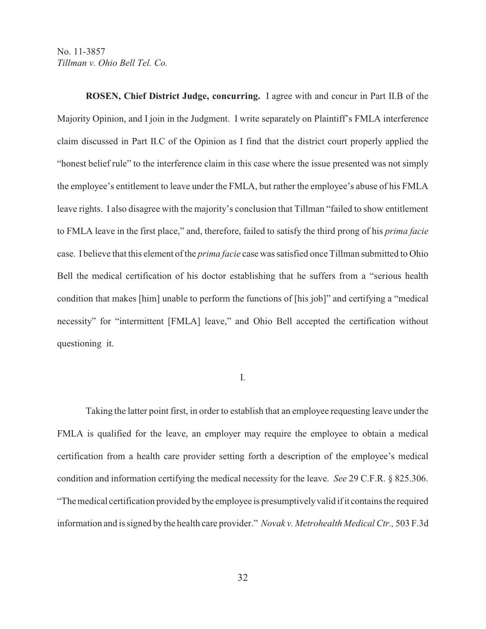**ROSEN, Chief District Judge, concurring.** I agree with and concur in Part II.B of the Majority Opinion, and I join in the Judgment. I write separately on Plaintiff's FMLA interference claim discussed in Part II.C of the Opinion as I find that the district court properly applied the "honest belief rule" to the interference claim in this case where the issue presented was not simply the employee's entitlement to leave under the FMLA, but rather the employee's abuse of his FMLA leave rights. I also disagree with the majority's conclusion that Tillman "failed to show entitlement to FMLA leave in the first place," and, therefore, failed to satisfy the third prong of his *prima facie* case. I believe that this element of the *prima facie* case was satisfied once Tillman submitted to Ohio Bell the medical certification of his doctor establishing that he suffers from a "serious health condition that makes [him] unable to perform the functions of [his job]" and certifying a "medical necessity" for "intermittent [FMLA] leave," and Ohio Bell accepted the certification without questioning it.

#### I.

Taking the latter point first, in order to establish that an employee requesting leave under the FMLA is qualified for the leave, an employer may require the employee to obtain a medical certification from a health care provider setting forth a description of the employee's medical condition and information certifying the medical necessity for the leave. *See* 29 C.F.R. § 825.306. "The medical certification provided by the employee is presumptively valid if it contains the required information and is signed by the health care provider." *Novak v. Metrohealth Medical Ctr.,* 503 F.3d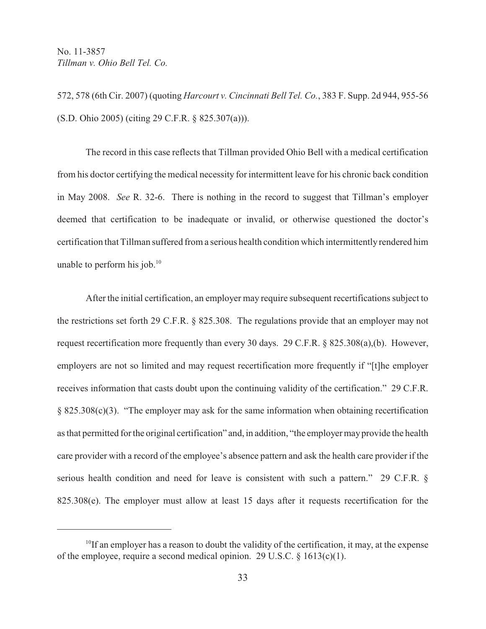572, 578 (6th Cir. 2007) (quoting *Harcourt v. Cincinnati Bell Tel. Co.*, 383 F. Supp. 2d 944, 955-56 (S.D. Ohio 2005) (citing 29 C.F.R. § 825.307(a))).

The record in this case reflects that Tillman provided Ohio Bell with a medical certification from his doctor certifying the medical necessity for intermittent leave for his chronic back condition in May 2008. *See* R. 32-6. There is nothing in the record to suggest that Tillman's employer deemed that certification to be inadequate or invalid, or otherwise questioned the doctor's certification that Tillman suffered from a serious health condition which intermittently rendered him unable to perform his job. $10<sup>10</sup>$ 

After the initial certification, an employer may require subsequent recertifications subject to the restrictions set forth 29 C.F.R. § 825.308. The regulations provide that an employer may not request recertification more frequently than every 30 days. 29 C.F.R. § 825.308(a),(b). However, employers are not so limited and may request recertification more frequently if "[t]he employer receives information that casts doubt upon the continuing validity of the certification." 29 C.F.R. § 825.308(c)(3). "The employer may ask for the same information when obtaining recertification as that permitted for the original certification" and, in addition, "the employer may provide the health care provider with a record of the employee's absence pattern and ask the health care provider if the serious health condition and need for leave is consistent with such a pattern." 29 C.F.R. § 825.308(e). The employer must allow at least 15 days after it requests recertification for the

 $^{10}$ If an employer has a reason to doubt the validity of the certification, it may, at the expense of the employee, require a second medical opinion. 29 U.S.C. § 1613(c)(1).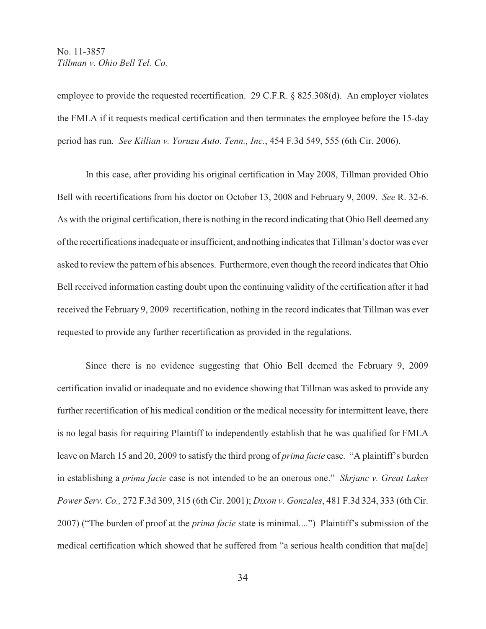employee to provide the requested recertification. 29 C.F.R. § 825.308(d). An employer violates the FMLA if it requests medical certification and then terminates the employee before the 15-day period has run. *See Killian v. Yoruzu Auto. Tenn., Inc.*, 454 F.3d 549, 555 (6th Cir. 2006).

In this case, after providing his original certification in May 2008, Tillman provided Ohio Bell with recertifications from his doctor on October 13, 2008 and February 9, 2009. *See* R. 32-6. As with the original certification, there is nothing in the record indicating that Ohio Bell deemed any of the recertifications inadequate or insufficient, and nothing indicates that Tillman's doctor was ever asked to review the pattern of his absences. Furthermore, even though the record indicates that Ohio Bell received information casting doubt upon the continuing validity of the certification after it had received the February 9, 2009 recertification, nothing in the record indicates that Tillman was ever requested to provide any further recertification as provided in the regulations.

Since there is no evidence suggesting that Ohio Bell deemed the February 9, 2009 certification invalid or inadequate and no evidence showing that Tillman was asked to provide any further recertification of his medical condition or the medical necessity for intermittent leave, there is no legal basis for requiring Plaintiff to independently establish that he was qualified for FMLA leave on March 15 and 20, 2009 to satisfy the third prong of *prima facie* case. "A plaintiff's burden in establishing a *prima facie* case is not intended to be an onerous one." *Skrjanc v. Great Lakes Power Serv. Co.,* 272 F.3d 309, 315 (6th Cir. 2001); *Dixon v. Gonzales*, 481 F.3d 324, 333 (6th Cir. 2007) ("The burden of proof at the *prima facie* state is minimal....") Plaintiff's submission of the medical certification which showed that he suffered from "a serious health condition that ma[de]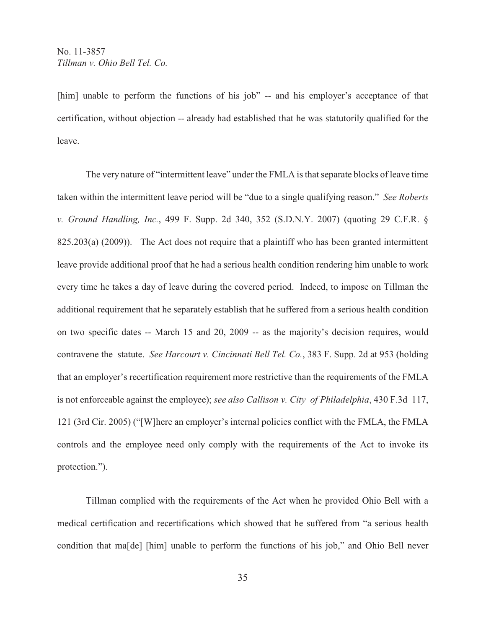[him] unable to perform the functions of his job" -- and his employer's acceptance of that certification, without objection -- already had established that he was statutorily qualified for the leave.

The very nature of "intermittent leave" under the FMLA is that separate blocks of leave time taken within the intermittent leave period will be "due to a single qualifying reason." *See Roberts v. Ground Handling, Inc.*, 499 F. Supp. 2d 340, 352 (S.D.N.Y. 2007) (quoting 29 C.F.R. § 825.203(a) (2009)). The Act does not require that a plaintiff who has been granted intermittent leave provide additional proof that he had a serious health condition rendering him unable to work every time he takes a day of leave during the covered period. Indeed, to impose on Tillman the additional requirement that he separately establish that he suffered from a serious health condition on two specific dates -- March 15 and 20, 2009 -- as the majority's decision requires, would contravene the statute. *See Harcourt v. Cincinnati Bell Tel. Co.*, 383 F. Supp. 2d at 953 (holding that an employer's recertification requirement more restrictive than the requirements of the FMLA is not enforceable against the employee); *see also Callison v. City of Philadelphia*, 430 F.3d 117, 121 (3rd Cir. 2005) ("[W]here an employer's internal policies conflict with the FMLA, the FMLA controls and the employee need only comply with the requirements of the Act to invoke its protection.").

Tillman complied with the requirements of the Act when he provided Ohio Bell with a medical certification and recertifications which showed that he suffered from "a serious health condition that ma[de] [him] unable to perform the functions of his job," and Ohio Bell never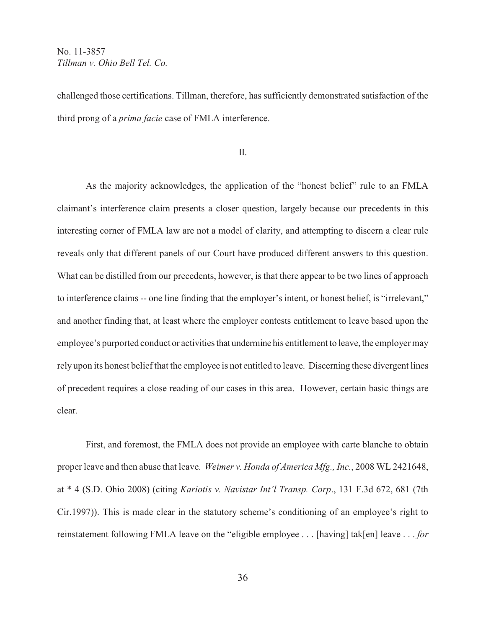challenged those certifications. Tillman, therefore, has sufficiently demonstrated satisfaction of the third prong of a *prima facie* case of FMLA interference.

II.

As the majority acknowledges, the application of the "honest belief" rule to an FMLA claimant's interference claim presents a closer question, largely because our precedents in this interesting corner of FMLA law are not a model of clarity, and attempting to discern a clear rule reveals only that different panels of our Court have produced different answers to this question. What can be distilled from our precedents, however, is that there appear to be two lines of approach to interference claims -- one line finding that the employer's intent, or honest belief, is "irrelevant," and another finding that, at least where the employer contests entitlement to leave based upon the employee's purported conduct or activities that undermine his entitlement to leave, the employer may rely upon its honest belief that the employee is not entitled to leave. Discerning these divergent lines of precedent requires a close reading of our cases in this area. However, certain basic things are clear.

First, and foremost, the FMLA does not provide an employee with carte blanche to obtain proper leave and then abuse that leave. *Weimer v. Honda of America Mfg., Inc.*, 2008 WL 2421648, at \* 4 (S.D. Ohio 2008) (citing *Kariotis v. Navistar Int'l Transp. Corp*., 131 F.3d 672, 681 (7th Cir.1997)). This is made clear in the statutory scheme's conditioning of an employee's right to reinstatement following FMLA leave on the "eligible employee . . . [having] tak[en] leave . . . *for*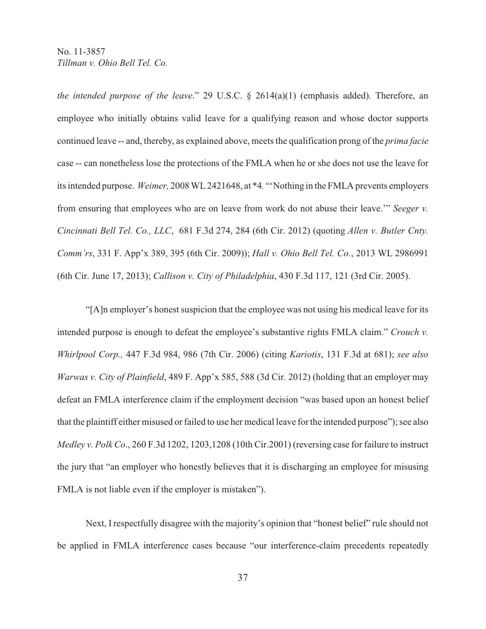*the intended purpose of the leave*." 29 U.S.C. § 2614(a)(1) (emphasis added). Therefore, an employee who initially obtains valid leave for a qualifying reason and whose doctor supports continued leave -- and, thereby, as explained above, meets the qualification prong of the *prima facie* case -- can nonetheless lose the protections of the FMLA when he or she does not use the leave for its intended purpose. *Weimer,* 2008 WL 2421648, at \*4*.* "'Nothing in the FMLA prevents employers from ensuring that employees who are on leave from work do not abuse their leave.'" *Seeger v. Cincinnati Bell Tel. Co., LLC*, 681 F.3d 274, 284 (6th Cir. 2012) (quoting *Allen v. Butler Cnty. Comm'rs*, 331 F. App'x 389, 395 (6th Cir. 2009)); *Hall v. Ohio Bell Tel. Co.*, 2013 WL 2986991 (6th Cir. June 17, 2013); *Callison v. City of Philadelphia*, 430 F.3d 117, 121 (3rd Cir. 2005).

"[A]n employer's honest suspicion that the employee was not using his medical leave for its intended purpose is enough to defeat the employee's substantive rights FMLA claim." *Crouch v. Whirlpool Corp.,* 447 F.3d 984, 986 (7th Cir. 2006) (citing *Kariotis*, 131 F.3d at 681); *see also Warwas v. City of Plainfield*, 489 F. App'x 585, 588 (3d Cir. 2012) (holding that an employer may defeat an FMLA interference claim if the employment decision "was based upon an honest belief that the plaintiff either misused or failed to use her medical leave for the intended purpose"); see also *Medley v. Polk Co*., 260 F.3d 1202, 1203,1208 (10th Cir.2001) (reversing case for failure to instruct the jury that "an employer who honestly believes that it is discharging an employee for misusing FMLA is not liable even if the employer is mistaken").

Next, I respectfully disagree with the majority's opinion that "honest belief" rule should not be applied in FMLA interference cases because "our interference-claim precedents repeatedly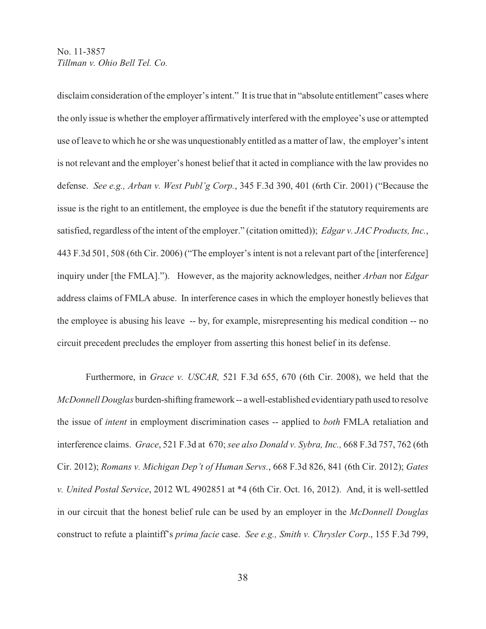disclaim consideration of the employer's intent." It is true that in "absolute entitlement" cases where the only issue is whether the employer affirmatively interfered with the employee's use or attempted use of leave to which he or she was unquestionably entitled as a matter of law, the employer's intent is not relevant and the employer's honest belief that it acted in compliance with the law provides no defense. *See e.g., Arban v. West Publ'g Corp.*, 345 F.3d 390, 401 (6rth Cir. 2001) ("Because the issue is the right to an entitlement, the employee is due the benefit if the statutory requirements are satisfied, regardless of the intent of the employer." (citation omitted)); *Edgar v. JAC Products, Inc.*, 443 F.3d 501, 508 (6th Cir. 2006) ("The employer's intent is not a relevant part of the [interference] inquiry under [the FMLA]."). However, as the majority acknowledges, neither *Arban* nor *Edgar* address claims of FMLA abuse. In interference cases in which the employer honestly believes that the employee is abusing his leave -- by, for example, misrepresenting his medical condition -- no circuit precedent precludes the employer from asserting this honest belief in its defense.

Furthermore, in *Grace v. USCAR,* 521 F.3d 655, 670 (6th Cir. 2008), we held that the *McDonnell Douglas* burden-shifting framework -- a well-established evidentiary path used to resolve the issue of *intent* in employment discrimination cases -- applied to *both* FMLA retaliation and interference claims. *Grace*, 521 F.3d at 670; *see also Donald v. Sybra, Inc.,* 668 F.3d 757, 762 (6th Cir. 2012); *Romans v. Michigan Dep't of Human Servs.*, 668 F.3d 826, 841 (6th Cir. 2012); *Gates v. United Postal Service*, 2012 WL 4902851 at \*4 (6th Cir. Oct. 16, 2012). And, it is well-settled in our circuit that the honest belief rule can be used by an employer in the *McDonnell Douglas* construct to refute a plaintiff's *prima facie* case. *See e.g., Smith v. Chrysler Corp*., 155 F.3d 799,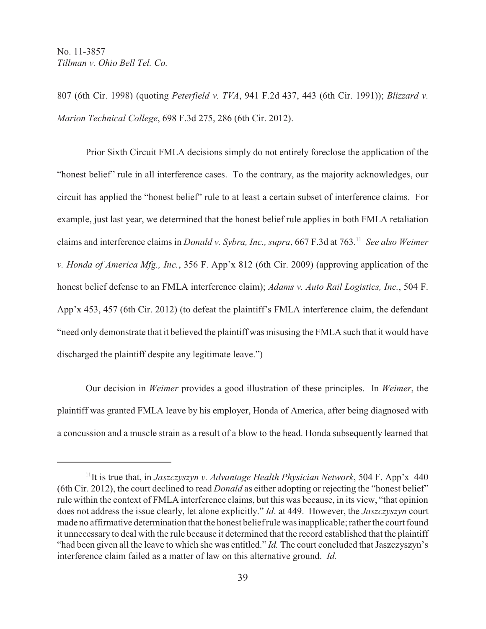807 (6th Cir. 1998) (quoting *Peterfield v. TVA*, 941 F.2d 437, 443 (6th Cir. 1991)); *Blizzard v. Marion Technical College*, 698 F.3d 275, 286 (6th Cir. 2012).

Prior Sixth Circuit FMLA decisions simply do not entirely foreclose the application of the "honest belief" rule in all interference cases. To the contrary, as the majority acknowledges, our circuit has applied the "honest belief" rule to at least a certain subset of interference claims. For example, just last year, we determined that the honest belief rule applies in both FMLA retaliation claims and interference claims in *Donald v. Sybra, Inc., supra*, 667 F.3d at 763.<sup>11</sup> See also Weimer *v. Honda of America Mfg., Inc.*, 356 F. App'x 812 (6th Cir. 2009) (approving application of the honest belief defense to an FMLA interference claim); *Adams v. Auto Rail Logistics, Inc.*, 504 F. App'x 453, 457 (6th Cir. 2012) (to defeat the plaintiff's FMLA interference claim, the defendant "need only demonstrate that it believed the plaintiff was misusing the FMLA such that it would have discharged the plaintiff despite any legitimate leave.")

Our decision in *Weimer* provides a good illustration of these principles. In *Weimer*, the plaintiff was granted FMLA leave by his employer, Honda of America, after being diagnosed with a concussion and a muscle strain as a result of a blow to the head. Honda subsequently learned that

<sup>&</sup>lt;sup>11</sup>It is true that, in *Jaszczyszyn v. Advantage Health Physician Network*, 504 F. App'x 440 (6th Cir. 2012), the court declined to read *Donald* as either adopting or rejecting the "honest belief" rule within the context of FMLA interference claims, but this was because, in its view, "that opinion does not address the issue clearly, let alone explicitly." *Id*. at 449. However, the *Jaszczyszyn* court made no affirmative determination that the honest belief rule was inapplicable; rather the court found it unnecessary to deal with the rule because it determined that the record established that the plaintiff "had been given all the leave to which she was entitled." *Id.* The court concluded that Jaszczyszyn's interference claim failed as a matter of law on this alternative ground. *Id.*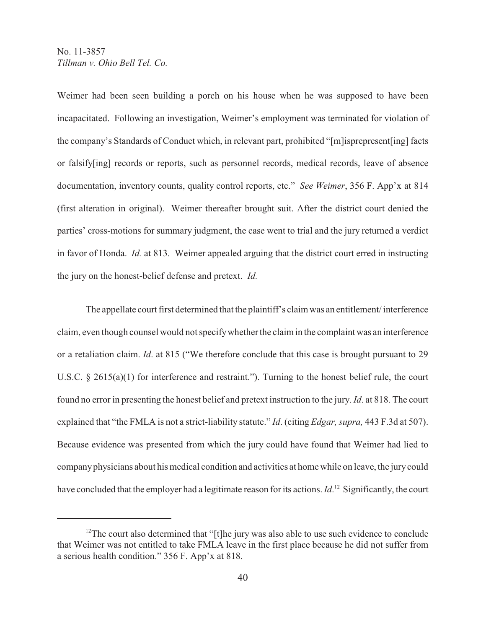Weimer had been seen building a porch on his house when he was supposed to have been incapacitated. Following an investigation, Weimer's employment was terminated for violation of the company's Standards of Conduct which, in relevant part, prohibited "[m]isprepresent[ing] facts or falsify[ing] records or reports, such as personnel records, medical records, leave of absence documentation, inventory counts, quality control reports, etc." *See Weimer*, 356 F. App'x at 814 (first alteration in original). Weimer thereafter brought suit. After the district court denied the parties' cross-motions for summary judgment, the case went to trial and the jury returned a verdict in favor of Honda. *Id.* at 813. Weimer appealed arguing that the district court erred in instructing the jury on the honest-belief defense and pretext. *Id.*

The appellate court first determined that the plaintiff's claim was an entitlement/ interference claim, even though counsel would not specify whether the claim in the complaint was an interference or a retaliation claim. *Id*. at 815 ("We therefore conclude that this case is brought pursuant to 29 U.S.C. § 2615(a)(1) for interference and restraint."). Turning to the honest belief rule, the court found no error in presenting the honest belief and pretext instruction to the jury. *Id*. at 818. The court explained that "the FMLA is not a strict-liability statute." *Id*. (citing *Edgar, supra,* 443 F.3d at 507). Because evidence was presented from which the jury could have found that Weimer had lied to company physicians about his medical condition and activities at home while on leave, the jury could have concluded that the employer had a legitimate reason for its actions. *Id*.<sup>12</sup> Significantly, the court

 $12$ <sup>12</sup>The court also determined that "[t]he jury was also able to use such evidence to conclude that Weimer was not entitled to take FMLA leave in the first place because he did not suffer from a serious health condition." 356 F. App'x at 818.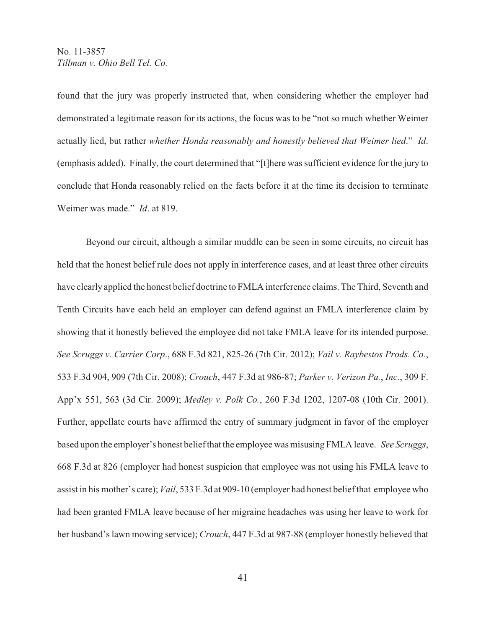found that the jury was properly instructed that, when considering whether the employer had demonstrated a legitimate reason for its actions, the focus was to be "not so much whether Weimer actually lied, but rather *whether Honda reasonably and honestly believed that Weimer lied*." *Id*. (emphasis added). Finally, the court determined that "[t]here was sufficient evidence for the jury to conclude that Honda reasonably relied on the facts before it at the time its decision to terminate Weimer was made." *Id*. at 819.

Beyond our circuit, although a similar muddle can be seen in some circuits, no circuit has held that the honest belief rule does not apply in interference cases, and at least three other circuits have clearly applied the honest belief doctrine to FMLA interference claims. The Third, Seventh and Tenth Circuits have each held an employer can defend against an FMLA interference claim by showing that it honestly believed the employee did not take FMLA leave for its intended purpose. *See Scruggs v. Carrier Corp*., 688 F.3d 821, 825-26 (7th Cir. 2012); *Vail v. Raybestos Prods. Co.*, 533 F.3d 904, 909 (7th Cir. 2008); *Crouch*, 447 F.3d at 986-87; *Parker v. Verizon Pa.*, *Inc.*, 309 F. App'x 551, 563 (3d Cir. 2009); *Medley v. Polk Co.*, 260 F.3d 1202, 1207-08 (10th Cir. 2001). Further, appellate courts have affirmed the entry of summary judgment in favor of the employer based upon the employer's honest belief that the employee was misusing FMLA leave. *See Scruggs*, 668 F.3d at 826 (employer had honest suspicion that employee was not using his FMLA leave to assist in his mother's care); *Vail*, 533 F.3d at 909-10 (employer had honest belief that employee who had been granted FMLA leave because of her migraine headaches was using her leave to work for her husband's lawn mowing service); *Crouch*, 447 F.3d at 987-88 (employer honestly believed that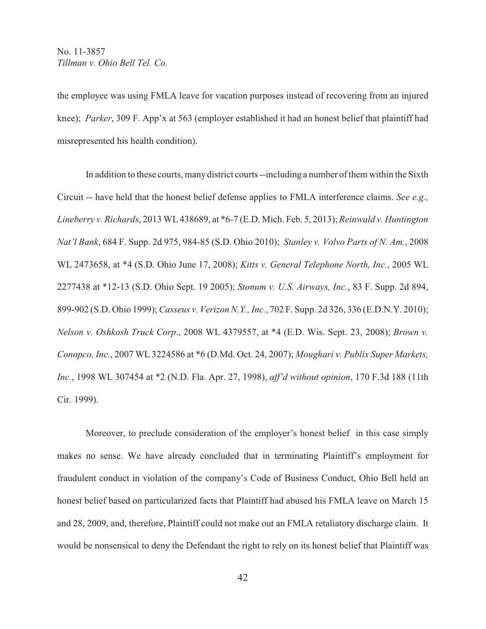the employee was using FMLA leave for vacation purposes instead of recovering from an injured knee); *Parker*, 309 F. App'x at 563 (employer established it had an honest belief that plaintiff had misrepresented his health condition).

In addition to these courts, many district courts --including a number of them within the Sixth Circuit -- have held that the honest belief defense applies to FMLA interference claims. *See e.g., Lineberry v. Richards*, 2013 WL 438689, at \*6-7 (E.D. Mich. Feb. 5, 2013); *Reinwald v. Huntington Nat'l Bank*, 684 F. Supp. 2d 975, 984-85 (S.D. Ohio 2010); *Stanley v. Volvo Parts of N. Am.*, 2008 WL 2473658, at \*4 (S.D. Ohio June 17, 2008); *Kitts v. General Telephone North, Inc.*, 2005 WL 2277438 at \*12-13 (S.D. Ohio Sept. 19 2005); *Stonum v. U.S. Airways, Inc.*, 83 F. Supp. 2d 894, 899-902 (S.D. Ohio 1999); *Casseus v. Verizon N.Y., Inc.*, 702 F. Supp. 2d 326, 336 (E.D.N.Y. 2010); *Nelson v. Oshkosh Truck Corp*., 2008 WL 4379557, at \*4 (E.D. Wis. Sept. 23, 2008); *Brown v. Conopco, Inc.*, 2007 WL 3224586 at \*6 (D.Md. Oct. 24, 2007); *Moughari v. Publix Super Markets, Inc.*, 1998 WL 307454 at \*2 (N.D. Fla. Apr. 27, 1998), *aff'd without opinion*, 170 F.3d 188 (11th Cir. 1999).

Moreover, to preclude consideration of the employer's honest belief in this case simply makes no sense. We have already concluded that in terminating Plaintiff's employment for fraudulent conduct in violation of the company's Code of Business Conduct, Ohio Bell held an honest belief based on particularized facts that Plaintiff had abused his FMLA leave on March 15 and 28, 2009, and, therefore, Plaintiff could not make out an FMLA retaliatory discharge claim. It would be nonsensical to deny the Defendant the right to rely on its honest belief that Plaintiff was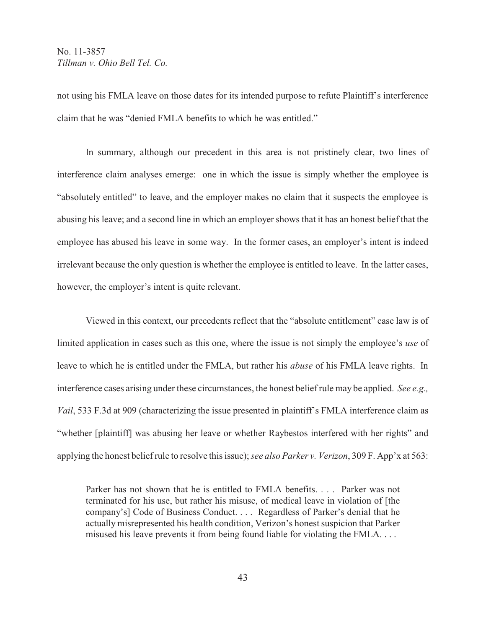not using his FMLA leave on those dates for its intended purpose to refute Plaintiff's interference claim that he was "denied FMLA benefits to which he was entitled."

In summary, although our precedent in this area is not pristinely clear, two lines of interference claim analyses emerge: one in which the issue is simply whether the employee is "absolutely entitled" to leave, and the employer makes no claim that it suspects the employee is abusing his leave; and a second line in which an employer shows that it has an honest belief that the employee has abused his leave in some way. In the former cases, an employer's intent is indeed irrelevant because the only question is whether the employee is entitled to leave. In the latter cases, however, the employer's intent is quite relevant.

Viewed in this context, our precedents reflect that the "absolute entitlement" case law is of limited application in cases such as this one, where the issue is not simply the employee's *use* of leave to which he is entitled under the FMLA, but rather his *abuse* of his FMLA leave rights. In interference cases arising under these circumstances, the honest belief rule may be applied. *See e.g., Vail*, 533 F.3d at 909 (characterizing the issue presented in plaintiff's FMLA interference claim as "whether [plaintiff] was abusing her leave or whether Raybestos interfered with her rights" and applying the honest belief rule to resolve this issue); *see also Parker v. Verizon*, 309 F. App'x at 563:

Parker has not shown that he is entitled to FMLA benefits. . . . Parker was not terminated for his use, but rather his misuse, of medical leave in violation of [the company's] Code of Business Conduct. . . . Regardless of Parker's denial that he actually misrepresented his health condition, Verizon's honest suspicion that Parker misused his leave prevents it from being found liable for violating the FMLA. . . .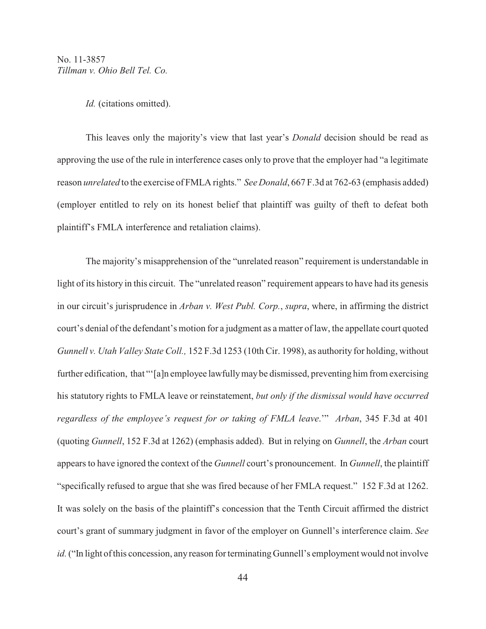*Id.* (citations omitted).

This leaves only the majority's view that last year's *Donald* decision should be read as approving the use of the rule in interference cases only to prove that the employer had "a legitimate reason *unrelated* to the exercise of FMLA rights." *See Donald*, 667 F.3d at 762-63 (emphasis added) (employer entitled to rely on its honest belief that plaintiff was guilty of theft to defeat both plaintiff's FMLA interference and retaliation claims).

The majority's misapprehension of the "unrelated reason" requirement is understandable in light of its history in this circuit. The "unrelated reason" requirement appears to have had its genesis in our circuit's jurisprudence in *Arban v. West Publ. Corp.*, *supra*, where, in affirming the district court's denial of the defendant's motion for a judgment as a matter of law, the appellate court quoted *Gunnell v. Utah Valley State Coll.,* 152 F.3d 1253 (10th Cir. 1998), as authority for holding, without further edification, that "'[a]n employee lawfully may be dismissed, preventing him from exercising his statutory rights to FMLA leave or reinstatement, *but only if the dismissal would have occurred regardless of the employee's request for or taking of FMLA leave*.'" *Arban*, 345 F.3d at 401 (quoting *Gunnell*, 152 F.3d at 1262) (emphasis added). But in relying on *Gunnell*, the *Arban* court appears to have ignored the context of the *Gunnell* court's pronouncement. In *Gunnell*, the plaintiff "specifically refused to argue that she was fired because of her FMLA request." 152 F.3d at 1262. It was solely on the basis of the plaintiff's concession that the Tenth Circuit affirmed the district court's grant of summary judgment in favor of the employer on Gunnell's interference claim. *See id.* ("In light of this concession, any reason for terminating Gunnell's employment would not involve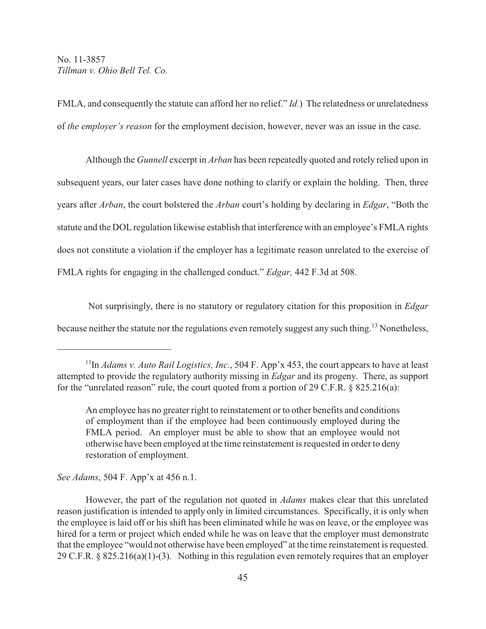FMLA, and consequently the statute can afford her no relief." *Id.*) The relatedness or unrelatedness of *the employer's reason* for the employment decision, however, never was an issue in the case.

Although the *Gunnell* excerpt in *Arban* has been repeatedly quoted and rotely relied upon in subsequent years, our later cases have done nothing to clarify or explain the holding. Then, three years after *Arban*, the court bolstered the *Arban* court's holding by declaring in *Edgar*, "Both the statute and the DOL regulation likewise establish that interference with an employee's FMLA rights does not constitute a violation if the employer has a legitimate reason unrelated to the exercise of FMLA rights for engaging in the challenged conduct." *Edgar,* 442 F.3d at 508.

 Not surprisingly, there is no statutory or regulatory citation for this proposition in *Edgar* because neither the statute nor the regulations even remotely suggest any such thing.<sup>13</sup> Nonetheless,

*See Adams*, 504 F. App'x at 456 n.1.

<sup>&</sup>lt;sup>13</sup>In *Adams v. Auto Rail Logistics, Inc.*, 504 F. App'x 453, the court appears to have at least attempted to provide the regulatory authority missing in *Edgar* and its progeny. There, as support for the "unrelated reason" rule, the court quoted from a portion of 29 C.F.R. § 825.216(a):

An employee has no greater right to reinstatement or to other benefits and conditions of employment than if the employee had been continuously employed during the FMLA period. An employer must be able to show that an employee would not otherwise have been employed at the time reinstatement is requested in order to deny restoration of employment.

However, the part of the regulation not quoted in *Adams* makes clear that this unrelated reason justification is intended to apply only in limited circumstances. Specifically, it is only when the employee is laid off or his shift has been eliminated while he was on leave, or the employee was hired for a term or project which ended while he was on leave that the employer must demonstrate that the employee "would not otherwise have been employed" at the time reinstatement is requested. 29 C.F.R. § 825.216(a)(1)-(3). Nothing in this regulation even remotely requires that an employer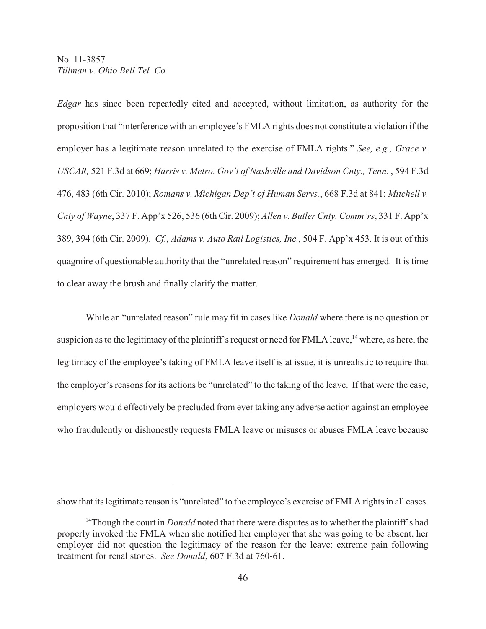*Edgar* has since been repeatedly cited and accepted, without limitation, as authority for the proposition that "interference with an employee's FMLA rights does not constitute a violation if the employer has a legitimate reason unrelated to the exercise of FMLA rights." *See, e.g., Grace v. USCAR,* 521 F.3d at 669; *Harris v. Metro. Gov't of Nashville and Davidson Cnty., Tenn.* , 594 F.3d 476, 483 (6th Cir. 2010); *Romans v. Michigan Dep't of Human Servs.*, 668 F.3d at 841; *Mitchell v. Cnty of Wayne*, 337 F. App'x 526, 536 (6th Cir. 2009); *Allen v. Butler Cnty. Comm'rs*, 331 F. App'x 389, 394 (6th Cir. 2009). *Cf.*, *Adams v. Auto Rail Logistics, Inc.*, 504 F. App'x 453. It is out of this quagmire of questionable authority that the "unrelated reason" requirement has emerged. It is time to clear away the brush and finally clarify the matter.

While an "unrelated reason" rule may fit in cases like *Donald* where there is no question or suspicion as to the legitimacy of the plaintiff's request or need for FMLA leave,  $^{14}$  where, as here, the legitimacy of the employee's taking of FMLA leave itself is at issue, it is unrealistic to require that the employer's reasons for its actions be "unrelated" to the taking of the leave. If that were the case, employers would effectively be precluded from ever taking any adverse action against an employee who fraudulently or dishonestly requests FMLA leave or misuses or abuses FMLA leave because

show that its legitimate reason is "unrelated" to the employee's exercise of FMLA rights in all cases.

<sup>&</sup>lt;sup>14</sup>Though the court in *Donald* noted that there were disputes as to whether the plaintiff's had properly invoked the FMLA when she notified her employer that she was going to be absent, her employer did not question the legitimacy of the reason for the leave: extreme pain following treatment for renal stones. *See Donald*, 607 F.3d at 760-61.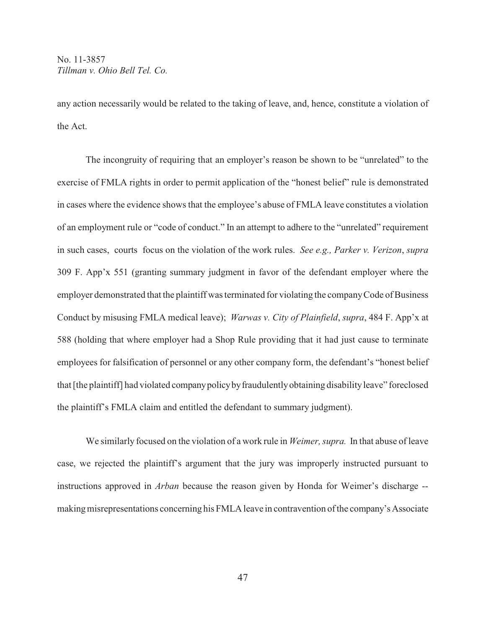any action necessarily would be related to the taking of leave, and, hence, constitute a violation of the Act.

The incongruity of requiring that an employer's reason be shown to be "unrelated" to the exercise of FMLA rights in order to permit application of the "honest belief" rule is demonstrated in cases where the evidence shows that the employee's abuse of FMLA leave constitutes a violation of an employment rule or "code of conduct." In an attempt to adhere to the "unrelated" requirement in such cases, courts focus on the violation of the work rules. *See e.g., Parker v. Verizon*, *supra* 309 F. App'x 551 (granting summary judgment in favor of the defendant employer where the employer demonstrated that the plaintiff was terminated for violating the company Code of Business Conduct by misusing FMLA medical leave); *Warwas v. City of Plainfield*, *supra*, 484 F. App'x at 588 (holding that where employer had a Shop Rule providing that it had just cause to terminate employees for falsification of personnel or any other company form, the defendant's "honest belief that [the plaintiff] had violated company policy by fraudulently obtaining disability leave" foreclosed the plaintiff's FMLA claim and entitled the defendant to summary judgment).

We similarly focused on the violation of a work rule in *Weimer, supra.* In that abuse of leave case, we rejected the plaintiff's argument that the jury was improperly instructed pursuant to instructions approved in *Arban* because the reason given by Honda for Weimer's discharge - making misrepresentations concerning his FMLA leave in contravention of the company's Associate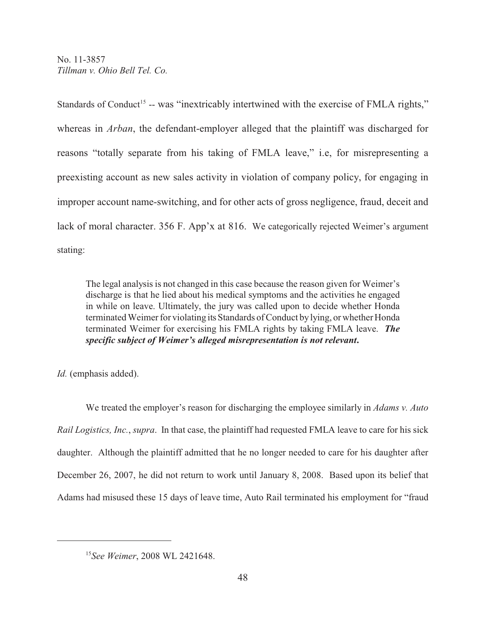Standards of Conduct<sup>15</sup> -- was "inextricably intertwined with the exercise of FMLA rights," whereas in *Arban*, the defendant-employer alleged that the plaintiff was discharged for reasons "totally separate from his taking of FMLA leave," i.e, for misrepresenting a preexisting account as new sales activity in violation of company policy, for engaging in improper account name-switching, and for other acts of gross negligence, fraud, deceit and lack of moral character. 356 F. App'x at 816. We categorically rejected Weimer's argument stating:

The legal analysis is not changed in this case because the reason given for Weimer's discharge is that he lied about his medical symptoms and the activities he engaged in while on leave. Ultimately, the jury was called upon to decide whether Honda terminated Weimer for violating its Standards of Conduct by lying, or whether Honda terminated Weimer for exercising his FMLA rights by taking FMLA leave. *The specific subject of Weimer's alleged misrepresentation is not relevant***.**

*Id.* (emphasis added).

We treated the employer's reason for discharging the employee similarly in *Adams v. Auto Rail Logistics, Inc.*, *supra*. In that case, the plaintiff had requested FMLA leave to care for his sick daughter. Although the plaintiff admitted that he no longer needed to care for his daughter after December 26, 2007, he did not return to work until January 8, 2008. Based upon its belief that Adams had misused these 15 days of leave time, Auto Rail terminated his employment for "fraud

<sup>&</sup>lt;sup>15</sup>See Weimer, 2008 WL 2421648.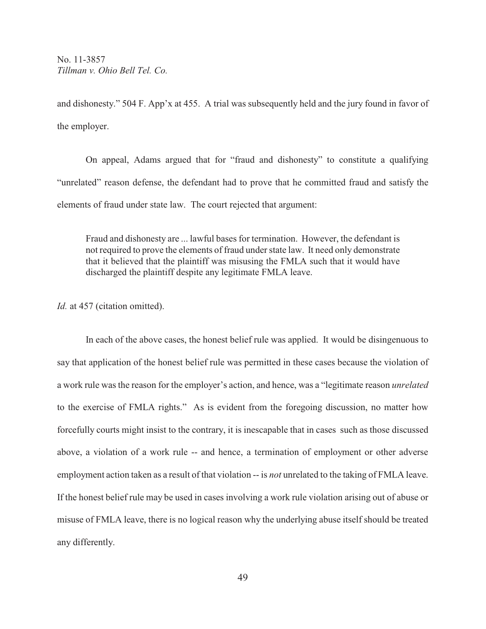and dishonesty." 504 F. App'x at 455. A trial was subsequently held and the jury found in favor of the employer.

On appeal, Adams argued that for "fraud and dishonesty" to constitute a qualifying "unrelated" reason defense, the defendant had to prove that he committed fraud and satisfy the elements of fraud under state law. The court rejected that argument:

Fraud and dishonesty are ... lawful bases for termination. However, the defendant is not required to prove the elements of fraud under state law. It need only demonstrate that it believed that the plaintiff was misusing the FMLA such that it would have discharged the plaintiff despite any legitimate FMLA leave.

*Id.* at 457 (citation omitted).

In each of the above cases, the honest belief rule was applied. It would be disingenuous to say that application of the honest belief rule was permitted in these cases because the violation of a work rule was the reason for the employer's action, and hence, was a "legitimate reason *unrelated* to the exercise of FMLA rights." As is evident from the foregoing discussion, no matter how forcefully courts might insist to the contrary, it is inescapable that in cases such as those discussed above, a violation of a work rule -- and hence, a termination of employment or other adverse employment action taken as a result of that violation -- is *not* unrelated to the taking of FMLA leave. If the honest belief rule may be used in cases involving a work rule violation arising out of abuse or misuse of FMLA leave, there is no logical reason why the underlying abuse itself should be treated any differently.